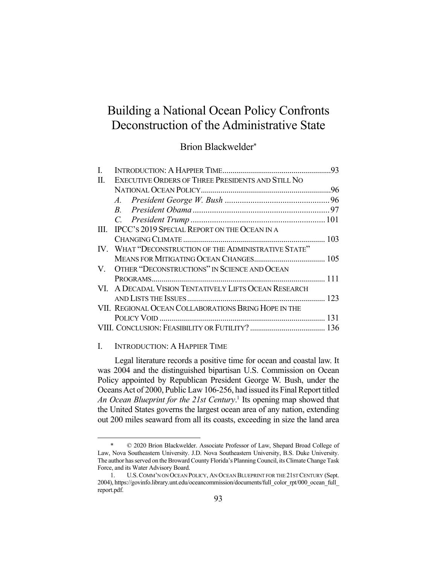# Building a National Ocean Policy Confronts Deconstruction of the Administrative State

# Brion Blackwelder\*

| L.  |                                                       |  |
|-----|-------------------------------------------------------|--|
| II. | EXECUTIVE ORDERS OF THREE PRESIDENTS AND STILL NO     |  |
|     |                                                       |  |
|     |                                                       |  |
|     |                                                       |  |
|     |                                                       |  |
|     | III. IPCC's 2019 SPECIAL REPORT ON THE OCEAN IN A     |  |
|     |                                                       |  |
|     | IV. WHAT "DECONSTRUCTION OF THE ADMINISTRATIVE STATE" |  |
|     |                                                       |  |
|     | V. OTHER "DECONSTRUCTIONS" IN SCIENCE AND OCEAN       |  |
|     |                                                       |  |
|     | VI. A DECADAL VISION TENTATIVELY LIFTS OCEAN RESEARCH |  |
|     |                                                       |  |
|     | VII. REGIONAL OCEAN COLLABORATIONS BRING HOPE IN THE  |  |
|     |                                                       |  |
|     |                                                       |  |
|     |                                                       |  |

#### I. INTRODUCTION: A HAPPIER TIME

Legal literature records a positive time for ocean and coastal law. It was 2004 and the distinguished bipartisan U.S. Commission on Ocean Policy appointed by Republican President George W. Bush, under the Oceans Act of 2000, Public Law 106-256, had issued its Final Report titled An Ocean Blueprint for the 21st Century.<sup>1</sup> Its opening map showed that the United States governs the largest ocean area of any nation, extending out 200 miles seaward from all its coasts, exceeding in size the land area

 <sup>\* © 2020</sup> Brion Blackwelder. Associate Professor of Law, Shepard Broad College of Law, Nova Southeastern University. J.D. Nova Southeastern University, B.S. Duke University. The author has served on the Broward County Florida's Planning Council, its Climate Change Task Force, and its Water Advisory Board.

 <sup>1.</sup> U.S.COMM'N ON OCEAN POLICY, AN OCEAN BLUEPRINT FOR THE 21ST CENTURY (Sept. 2004), https://govinfo.library.unt.edu/oceancommission/documents/full\_color\_rpt/000\_ocean\_full report.pdf.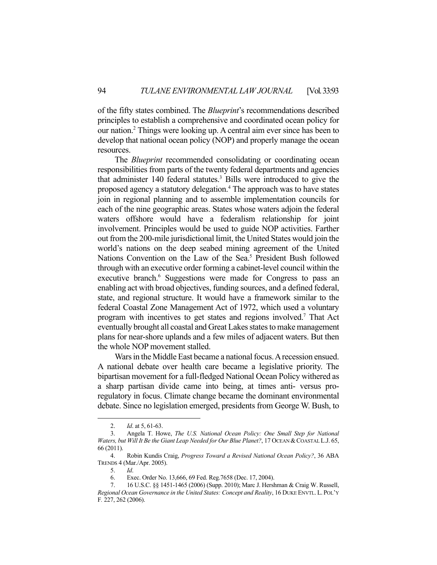of the fifty states combined. The *Blueprint*'s recommendations described principles to establish a comprehensive and coordinated ocean policy for our nation.2 Things were looking up. A central aim ever since has been to develop that national ocean policy (NOP) and properly manage the ocean resources.

 The *Blueprint* recommended consolidating or coordinating ocean responsibilities from parts of the twenty federal departments and agencies that administer 140 federal statutes.<sup>3</sup> Bills were introduced to give the proposed agency a statutory delegation.<sup>4</sup> The approach was to have states join in regional planning and to assemble implementation councils for each of the nine geographic areas. States whose waters adjoin the federal waters offshore would have a federalism relationship for joint involvement. Principles would be used to guide NOP activities. Farther out from the 200-mile jurisdictional limit, the United States would join the world's nations on the deep seabed mining agreement of the United Nations Convention on the Law of the Sea.<sup>5</sup> President Bush followed through with an executive order forming a cabinet-level council within the executive branch.<sup>6</sup> Suggestions were made for Congress to pass an enabling act with broad objectives, funding sources, and a defined federal, state, and regional structure. It would have a framework similar to the federal Coastal Zone Management Act of 1972, which used a voluntary program with incentives to get states and regions involved.<sup>7</sup> That Act eventually brought all coastal and Great Lakes states to make management plans for near-shore uplands and a few miles of adjacent waters. But then the whole NOP movement stalled.

 Wars in the Middle East became a national focus. A recession ensued. A national debate over health care became a legislative priority. The bipartisan movement for a full-fledged National Ocean Policy withered as a sharp partisan divide came into being, at times anti- versus proregulatory in focus. Climate change became the dominant environmental debate. Since no legislation emerged, presidents from George W. Bush, to

 <sup>2.</sup> *Id*. at 5, 61-63.

 <sup>3.</sup> Angela T. Howe, *The U.S. National Ocean Policy: One Small Step for National Waters, but Will It Be the Giant Leap Needed for Our Blue Planet?, 17 OCEAN & COASTAL L.J. 65,* 66 (2011).

 <sup>4.</sup> Robin Kundis Craig, *Progress Toward a Revised National Ocean Policy?*, 36 ABA TRENDS 4 (Mar./Apr. 2005).

 <sup>5.</sup> *Id*.

 <sup>6.</sup> Exec. Order No. 13,666, 69 Fed. Reg.7658 (Dec. 17, 2004).

 <sup>7. 16</sup> U.S.C. §§ 1451-1465 (2006) (Supp. 2010); Marc J. Hershman & Craig W. Russell, *Regional Ocean Governance in the United States: Concept and Reality*, 16 DUKE ENVTL.L. POL'Y F*.* 227, 262 (2006).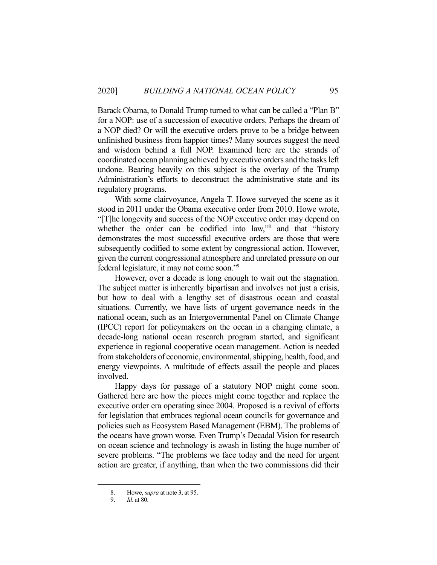Barack Obama, to Donald Trump turned to what can be called a "Plan B" for a NOP: use of a succession of executive orders. Perhaps the dream of a NOP died? Or will the executive orders prove to be a bridge between unfinished business from happier times? Many sources suggest the need and wisdom behind a full NOP. Examined here are the strands of coordinated ocean planning achieved by executive orders and the tasks left undone. Bearing heavily on this subject is the overlay of the Trump Administration's efforts to deconstruct the administrative state and its regulatory programs.

 With some clairvoyance, Angela T. Howe surveyed the scene as it stood in 2011 under the Obama executive order from 2010. Howe wrote, "[T]he longevity and success of the NOP executive order may depend on whether the order can be codified into law,"8 and that "history demonstrates the most successful executive orders are those that were subsequently codified to some extent by congressional action. However, given the current congressional atmosphere and unrelated pressure on our federal legislature, it may not come soon."9

 However, over a decade is long enough to wait out the stagnation. The subject matter is inherently bipartisan and involves not just a crisis, but how to deal with a lengthy set of disastrous ocean and coastal situations. Currently, we have lists of urgent governance needs in the national ocean, such as an Intergovernmental Panel on Climate Change (IPCC) report for policymakers on the ocean in a changing climate, a decade-long national ocean research program started, and significant experience in regional cooperative ocean management. Action is needed from stakeholders of economic, environmental, shipping, health, food, and energy viewpoints. A multitude of effects assail the people and places involved.

 Happy days for passage of a statutory NOP might come soon. Gathered here are how the pieces might come together and replace the executive order era operating since 2004. Proposed is a revival of efforts for legislation that embraces regional ocean councils for governance and policies such as Ecosystem Based Management (EBM). The problems of the oceans have grown worse. Even Trump's Decadal Vision for research on ocean science and technology is awash in listing the huge number of severe problems. "The problems we face today and the need for urgent action are greater, if anything, than when the two commissions did their

 <sup>8.</sup> Howe, *supra* at note 3, at 95.

 <sup>9.</sup> *Id*. at 80.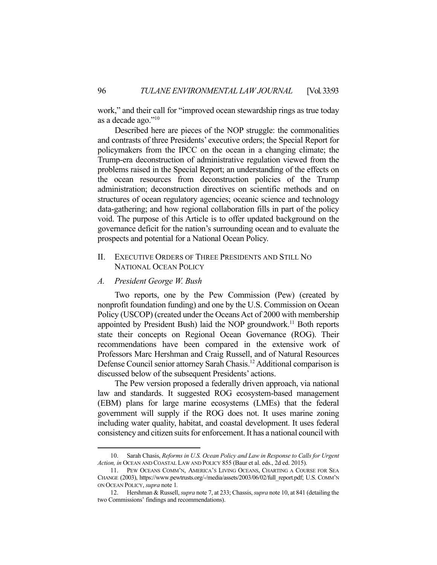work," and their call for "improved ocean stewardship rings as true today as a decade ago."10

 Described here are pieces of the NOP struggle: the commonalities and contrasts of three Presidents' executive orders; the Special Report for policymakers from the IPCC on the ocean in a changing climate; the Trump-era deconstruction of administrative regulation viewed from the problems raised in the Special Report; an understanding of the effects on the ocean resources from deconstruction policies of the Trump administration; deconstruction directives on scientific methods and on structures of ocean regulatory agencies; oceanic science and technology data-gathering; and how regional collaboration fills in part of the policy void. The purpose of this Article is to offer updated background on the governance deficit for the nation's surrounding ocean and to evaluate the prospects and potential for a National Ocean Policy.

# II. EXECUTIVE ORDERS OF THREE PRESIDENTS AND STILL NO NATIONAL OCEAN POLICY

*A. President George W. Bush* 

 Two reports, one by the Pew Commission (Pew) (created by nonprofit foundation funding) and one by the U.S. Commission on Ocean Policy (USCOP) (created under the Oceans Act of 2000 with membership appointed by President Bush) laid the NOP groundwork.<sup>11</sup> Both reports state their concepts on Regional Ocean Governance (ROG). Their recommendations have been compared in the extensive work of Professors Marc Hershman and Craig Russell, and of Natural Resources Defense Council senior attorney Sarah Chasis.<sup>12</sup> Additional comparison is discussed below of the subsequent Presidents' actions.

 The Pew version proposed a federally driven approach, via national law and standards. It suggested ROG ecosystem-based management (EBM) plans for large marine ecosystems (LMEs) that the federal government will supply if the ROG does not. It uses marine zoning including water quality, habitat, and coastal development. It uses federal consistency and citizen suits for enforcement. It has a national council with

 <sup>10.</sup> Sarah Chasis, *Reforms in U.S. Ocean Policy and Law in Response to Calls for Urgent Action, in* OCEAN AND COASTAL LAW AND POLICY 855 (Baur et al. eds., 2d ed. 2015).

 <sup>11.</sup> PEW OCEANS COMM'N, AMERICA'S LIVING OCEANS, CHARTING A COURSE FOR SEA CHANGE (2003), https://www.pewtrusts.org/-/media/assets/2003/06/02/full\_report.pdf; U.S. COMM'N ON OCEAN POLICY, *supra* note 1*.*

 <sup>12.</sup> Hershman & Russell, *supra* note 7, at 233; Chassis, *supra* note 10, at 841 (detailing the two Commissions' findings and recommendations).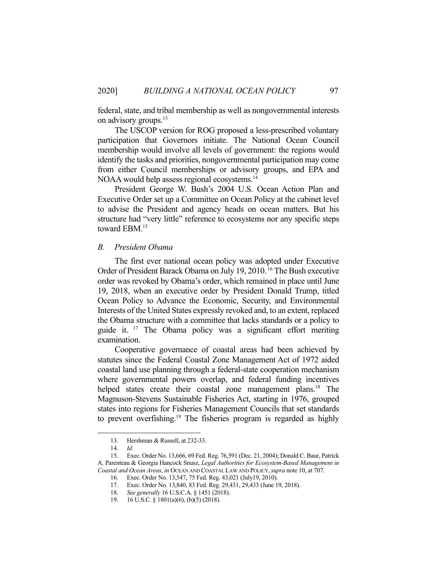federal, state, and tribal membership as well as nongovernmental interests on advisory groups.<sup>13</sup>

 The USCOP version for ROG proposed a less-prescribed voluntary participation that Governors initiate. The National Ocean Council membership would involve all levels of government: the regions would identify the tasks and priorities, nongovernmental participation may come from either Council memberships or advisory groups, and EPA and NOAA would help assess regional ecosystems.<sup>14</sup>

 President George W. Bush's 2004 U.S. Ocean Action Plan and Executive Order set up a Committee on Ocean Policy at the cabinet level to advise the President and agency heads on ocean matters. But his structure had "very little" reference to ecosystems nor any specific steps toward EBM.15

#### *B. President Obama*

 The first ever national ocean policy was adopted under Executive Order of President Barack Obama on July 19, 2010. 16 The Bush executive order was revoked by Obama's order, which remained in place until June 19, 2018, when an executive order by President Donald Trump, titled Ocean Policy to Advance the Economic, Security, and Environmental Interests of the United States expressly revoked and, to an extent, replaced the Obama structure with a committee that lacks standards or a policy to guide it. 17 The Obama policy was a significant effort meriting examination.

 Cooperative governance of coastal areas had been achieved by statutes since the Federal Coastal Zone Management Act of 1972 aided coastal land use planning through a federal-state cooperation mechanism where governmental powers overlap, and federal funding incentives helped states create their coastal zone management plans.<sup>18</sup> The Magnuson-Stevens Sustainable Fisheries Act, starting in 1976, grouped states into regions for Fisheries Management Councils that set standards to prevent overfishing.<sup>19</sup> The fisheries program is regarded as highly

 <sup>13.</sup> Hershman & Russell, at 232-33.

 <sup>14.</sup> *Id.*

 <sup>15.</sup> Exec. Order No. 13,666, 69 Fed. Reg. 76,591 (Dec. 21, 2004); Donald C. Baur, Patrick A. Parenteau & Georgia Hancock Snusz, *Legal Authorities for Ecosystem-Based Management in Coastal and Ocean Areas*, *in* OCEAN AND COASTAL LAW AND POLICY,*supra* note 10, at 707.

 <sup>16.</sup> Exec. Order No. 13,547, 75 Fed. Reg. 43,021 (July19, 2010).

 <sup>17.</sup> Exec. Order No. 13,840, 83 Fed. Reg. 29,431, 29,433 (June 19, 2018).

 <sup>18.</sup> *See generally* 16 U.S.C.A. § 1451 (2018).

 <sup>19. 16</sup> U.S.C. § 1801(a)(6), (b)(5) (2018).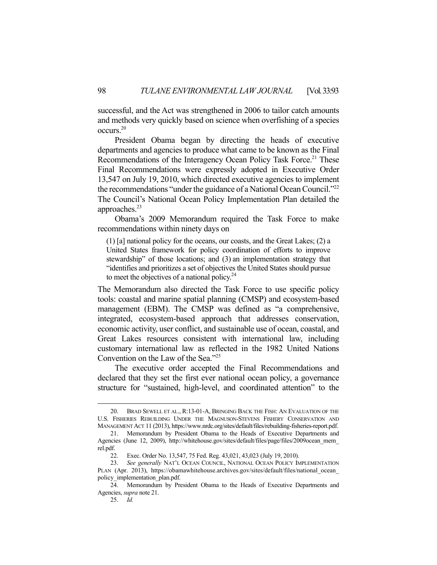successful, and the Act was strengthened in 2006 to tailor catch amounts and methods very quickly based on science when overfishing of a species occurs.20

 President Obama began by directing the heads of executive departments and agencies to produce what came to be known as the Final Recommendations of the Interagency Ocean Policy Task Force.<sup>21</sup> These Final Recommendations were expressly adopted in Executive Order 13,547 on July 19, 2010, which directed executive agencies to implement the recommendations "under the guidance of a National Ocean Council."<sup>22</sup> The Council's National Ocean Policy Implementation Plan detailed the approaches.<sup>23</sup>

 Obama's 2009 Memorandum required the Task Force to make recommendations within ninety days on

(1) [a] national policy for the oceans, our coasts, and the Great Lakes; (2) a United States framework for policy coordination of efforts to improve stewardship" of those locations; and (3) an implementation strategy that "identifies and prioritizes a set of objectives the United States should pursue to meet the objectives of a national policy.<sup>24</sup>

The Memorandum also directed the Task Force to use specific policy tools: coastal and marine spatial planning (CMSP) and ecosystem-based management (EBM). The CMSP was defined as "a comprehensive, integrated, ecosystem-based approach that addresses conservation, economic activity, user conflict, and sustainable use of ocean, coastal, and Great Lakes resources consistent with international law, including customary international law as reflected in the 1982 United Nations Convention on the Law of the Sea."25

 The executive order accepted the Final Recommendations and declared that they set the first ever national ocean policy, a governance structure for "sustained, high-level, and coordinated attention" to the

 <sup>20.</sup> BRAD SEWELL ET AL., R:13-01-A, BRINGING BACK THE FISH: AN EVALUATION OF THE U.S. FISHERIES REBUILDING UNDER THE MAGNUSON-STEVENS FISHERY CONSERVATION AND MANAGEMENT ACT 11 (2013), https://www.nrdc.org/sites/default/files/rebuilding-fisheries-report.pdf.

 <sup>21.</sup> Memorandum by President Obama to the Heads of Executive Departments and Agencies (June 12, 2009), http://whitehouse.gov/sites/default/files/page/files/2009ocean\_mem rel.pdf.

 <sup>22.</sup> Exec. Order No. 13,547, 75 Fed. Reg. 43,021, 43,023 (July 19, 2010).

 <sup>23.</sup> *See generally* NAT'L OCEAN COUNCIL, NATIONAL OCEAN POLICY IMPLEMENTATION PLAN (Apr. 2013), https://obamawhitehouse.archives.gov/sites/default/files/national\_ocean policy\_implementation\_plan.pdf.

 <sup>24.</sup> Memorandum by President Obama to the Heads of Executive Departments and Agencies, *supra* note 21.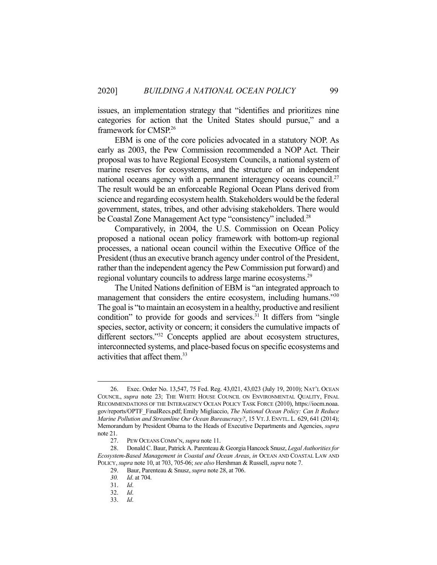issues, an implementation strategy that "identifies and prioritizes nine categories for action that the United States should pursue," and a framework for CMSP.26

 EBM is one of the core policies advocated in a statutory NOP. As early as 2003, the Pew Commission recommended a NOP Act. Their proposal was to have Regional Ecosystem Councils, a national system of marine reserves for ecosystems, and the structure of an independent national oceans agency with a permanent interagency oceans council.<sup>27</sup> The result would be an enforceable Regional Ocean Plans derived from science and regarding ecosystem health. Stakeholders would be the federal government, states, tribes, and other advising stakeholders. There would be Coastal Zone Management Act type "consistency" included.<sup>28</sup>

 Comparatively, in 2004, the U.S. Commission on Ocean Policy proposed a national ocean policy framework with bottom-up regional processes, a national ocean council within the Executive Office of the President (thus an executive branch agency under control of the President, rather than the independent agency the Pew Commission put forward) and regional voluntary councils to address large marine ecosystems.<sup>29</sup>

 The United Nations definition of EBM is "an integrated approach to management that considers the entire ecosystem, including humans."30 The goal is "to maintain an ecosystem in a healthy, productive and resilient condition" to provide for goods and services. $31$  It differs from "single" species, sector, activity or concern; it considers the cumulative impacts of different sectors."<sup>32</sup> Concepts applied are about ecosystem structures, interconnected systems, and place-based focus on specific ecosystems and activities that affect them.<sup>33</sup>

 <sup>26.</sup> Exec. Order No. 13,547, 75 Fed. Reg. 43,021, 43,023 (July 19, 2010); NAT'L OCEAN COUNCIL, *supra* note 23; THE WHITE HOUSE COUNCIL ON ENVIRONMENTAL QUALITY, FINAL RECOMMENDATIONS OF THE INTERAGENCY OCEAN POLICY TASK FORCE (2010), https://iocm.noaa. gov/reports/OPTF\_FinalRecs.pdf; Emily Migliaccio, *The National Ocean Policy: Can It Reduce Marine Pollution and Streamline Our Ocean Bureaucracy?*, 15 VT.J. ENVTL. L*.* 629, 641 (2014); Memorandum by President Obama to the Heads of Executive Departments and Agencies, *supra* note 21.

 <sup>27.</sup> PEW OCEANS COMM'N, *supra* note 11.

 <sup>28.</sup> Donald C. Baur, Patrick A. Parenteau & Georgia Hancock Snusz, *Legal Authorities for Ecosystem-Based Management in Coastal and Ocean Areas*, *in* OCEAN AND COASTAL LAW AND POLICY, *supra* note 10, at 703, 705-06; *see also* Hershman & Russell, *supra* note 7.

 <sup>29.</sup> Baur, Parenteau & Snusz, *supra* note 28, at 706.

 *<sup>30.</sup> Id*. at 704.

 <sup>31.</sup> *Id*.

 <sup>32.</sup> *Id*.

 <sup>33.</sup> *Id*.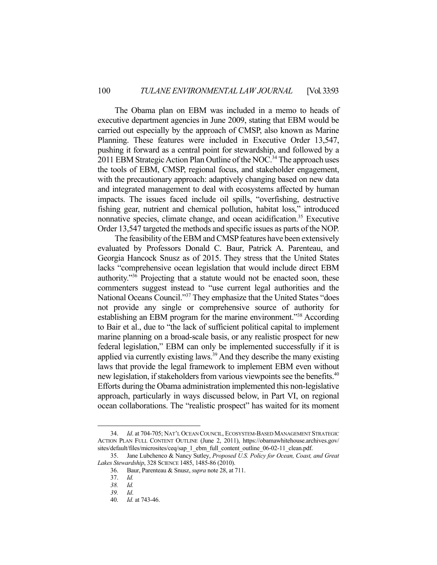The Obama plan on EBM was included in a memo to heads of executive department agencies in June 2009, stating that EBM would be carried out especially by the approach of CMSP, also known as Marine Planning. These features were included in Executive Order 13,547, pushing it forward as a central point for stewardship, and followed by a 2011 EBM Strategic Action Plan Outline of the NOC.<sup>34</sup> The approach uses the tools of EBM, CMSP, regional focus, and stakeholder engagement, with the precautionary approach: adaptively changing based on new data and integrated management to deal with ecosystems affected by human impacts. The issues faced include oil spills, "overfishing, destructive fishing gear, nutrient and chemical pollution, habitat loss," introduced nonnative species, climate change, and ocean acidification.<sup>35</sup> Executive Order 13,547 targeted the methods and specific issues as parts of the NOP.

 The feasibility of the EBM and CMSP features have been extensively evaluated by Professors Donald C. Baur, Patrick A. Parenteau, and Georgia Hancock Snusz as of 2015. They stress that the United States lacks "comprehensive ocean legislation that would include direct EBM authority."36 Projecting that a statute would not be enacted soon, these commenters suggest instead to "use current legal authorities and the National Oceans Council."37 They emphasize that the United States "does not provide any single or comprehensive source of authority for establishing an EBM program for the marine environment."<sup>38</sup> According to Bair et al., due to "the lack of sufficient political capital to implement marine planning on a broad-scale basis, or any realistic prospect for new federal legislation," EBM can only be implemented successfully if it is applied via currently existing laws.<sup>39</sup> And they describe the many existing laws that provide the legal framework to implement EBM even without new legislation, if stakeholders from various viewpoints see the benefits.<sup>40</sup> Efforts during the Obama administration implemented this non-legislative approach, particularly in ways discussed below, in Part VI, on regional ocean collaborations. The "realistic prospect" has waited for its moment

 <sup>34.</sup> *Id*. at 704-705; NAT'L OCEAN COUNCIL, ECOSYSTEM-BASED MANAGEMENT STRATEGIC ACTION PLAN FULL CONTENT OUTLINE (June 2, 2011), https://obamawhitehouse.archives.gov/ sites/default/files/microsites/ceq/sap\_1\_ebm\_full\_content\_outline\_06-02-11\_clean.pdf.

 <sup>35.</sup> Jane Lubchenco & Nancy Sutley, *Proposed U.S. Policy for Ocean, Coast, and Great Lakes Stewardship*, 328 SCIENCE 1485, 1485-86 (2010).

 <sup>36.</sup> Baur, Parenteau & Snusz, *supra* note 28, at 711.

 <sup>37.</sup> *Id.* 

 *<sup>38.</sup> Id.* 

 *<sup>39.</sup> Id*.

 <sup>40.</sup> *Id.* at 743-46.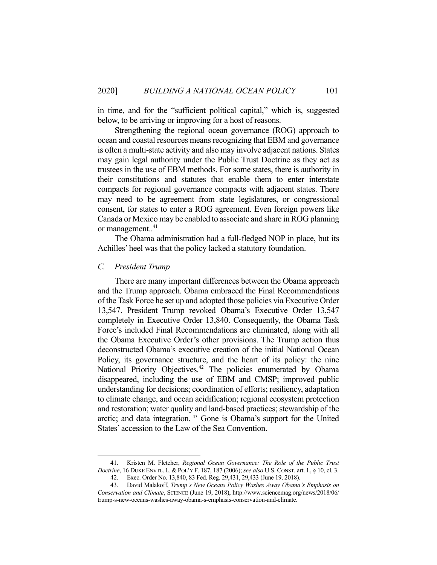in time, and for the "sufficient political capital," which is, suggested below, to be arriving or improving for a host of reasons.

 Strengthening the regional ocean governance (ROG) approach to ocean and coastal resources means recognizing that EBM and governance is often a multi-state activity and also may involve adjacent nations. States may gain legal authority under the Public Trust Doctrine as they act as trustees in the use of EBM methods. For some states, there is authority in their constitutions and statutes that enable them to enter interstate compacts for regional governance compacts with adjacent states. There may need to be agreement from state legislatures, or congressional consent, for states to enter a ROG agreement. Even foreign powers like Canada or Mexico may be enabled to associate and share in ROG planning or management..<sup>41</sup>

 The Obama administration had a full-fledged NOP in place, but its Achilles' heel was that the policy lacked a statutory foundation.

#### *C. President Trump*

 There are many important differences between the Obama approach and the Trump approach. Obama embraced the Final Recommendations of the Task Force he set up and adopted those policies via Executive Order 13,547. President Trump revoked Obama's Executive Order 13,547 completely in Executive Order 13,840. Consequently, the Obama Task Force's included Final Recommendations are eliminated, along with all the Obama Executive Order's other provisions. The Trump action thus deconstructed Obama's executive creation of the initial National Ocean Policy, its governance structure, and the heart of its policy: the nine National Priority Objectives.<sup>42</sup> The policies enumerated by Obama disappeared, including the use of EBM and CMSP; improved public understanding for decisions; coordination of efforts; resiliency, adaptation to climate change, and ocean acidification; regional ecosystem protection and restoration; water quality and land-based practices; stewardship of the arctic; and data integration. 43 Gone is Obama's support for the United States' accession to the Law of the Sea Convention.

 <sup>41.</sup> Kristen M. Fletcher, *Regional Ocean Governance: The Role of the Public Trust Doctrine*, 16 DUKE ENVTL. L. & POL'Y F. 187, 187 (2006); *see also* U.S. CONST. art. I., § 10, cl. 3. 42. Exec. Order No. 13,840, 83 Fed. Reg. 29,431, 29,433 (June 19, 2018).

 <sup>43.</sup> David Malakoff, *Trump's New Oceans Policy Washes Away Obama's Emphasis on Conservation and Climate*, SCIENCE (June 19, 2018), http://www.sciencemag.org/news/2018/06/ trump-s-new-oceans-washes-away-obama-s-emphasis-conservation-and-climate.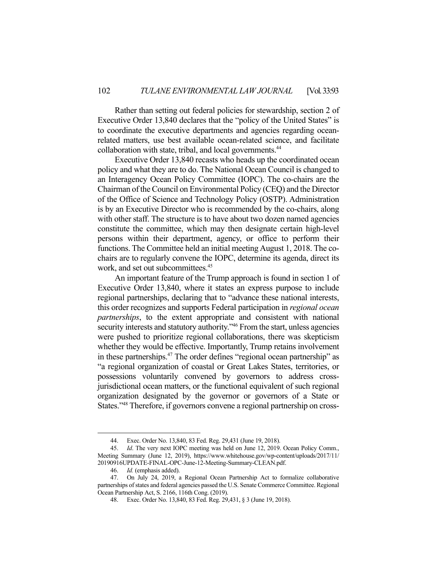Rather than setting out federal policies for stewardship, section 2 of Executive Order 13,840 declares that the "policy of the United States" is to coordinate the executive departments and agencies regarding oceanrelated matters, use best available ocean-related science, and facilitate collaboration with state, tribal, and local governments.<sup>44</sup>

 Executive Order 13,840 recasts who heads up the coordinated ocean policy and what they are to do. The National Ocean Council is changed to an Interagency Ocean Policy Committee (IOPC). The co-chairs are the Chairman of the Council on Environmental Policy (CEQ) and the Director of the Office of Science and Technology Policy (OSTP). Administration is by an Executive Director who is recommended by the co-chairs, along with other staff. The structure is to have about two dozen named agencies constitute the committee, which may then designate certain high-level persons within their department, agency, or office to perform their functions. The Committee held an initial meeting August 1, 2018. The cochairs are to regularly convene the IOPC, determine its agenda, direct its work, and set out subcommittees.<sup>45</sup>

 An important feature of the Trump approach is found in section 1 of Executive Order 13,840, where it states an express purpose to include regional partnerships, declaring that to "advance these national interests, this order recognizes and supports Federal participation in *regional ocean partnerships*, to the extent appropriate and consistent with national security interests and statutory authority."<sup>46</sup> From the start, unless agencies were pushed to prioritize regional collaborations, there was skepticism whether they would be effective. Importantly, Trump retains involvement in these partnerships.<sup>47</sup> The order defines "regional ocean partnership" as "a regional organization of coastal or Great Lakes States, territories, or possessions voluntarily convened by governors to address crossjurisdictional ocean matters, or the functional equivalent of such regional organization designated by the governor or governors of a State or States."48 Therefore, if governors convene a regional partnership on cross-

 <sup>44.</sup> Exec. Order No. 13,840, 83 Fed. Reg. 29,431 (June 19, 2018).

 <sup>45.</sup> *Id*. The very next IOPC meeting was held on June 12, 2019. Ocean Policy Comm., Meeting Summary (June 12, 2019), https://www.whitehouse.gov/wp-content/uploads/2017/11/ 20190916UPDATE-FINAL-OPC-June-12-Meeting-Summary-CLEAN.pdf.

 <sup>46.</sup> *Id.* (emphasis added).

 <sup>47.</sup> On July 24, 2019, a Regional Ocean Partnership Act to formalize collaborative partnerships of states and federal agencies passed the U.S. Senate Commerce Committee. Regional Ocean Partnership Act, S. 2166, 116th Cong. (2019).

 <sup>48.</sup> Exec. Order No. 13,840, 83 Fed. Reg. 29,431, § 3 (June 19, 2018).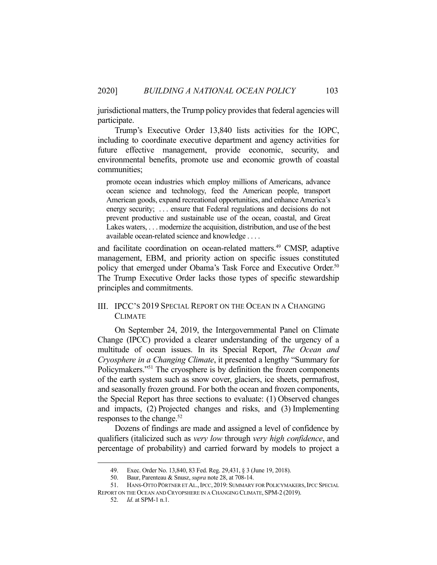jurisdictional matters, the Trump policy provides that federal agencies will participate.

 Trump's Executive Order 13,840 lists activities for the IOPC, including to coordinate executive department and agency activities for future effective management, provide economic, security, and environmental benefits, promote use and economic growth of coastal communities;

promote ocean industries which employ millions of Americans, advance ocean science and technology, feed the American people, transport American goods, expand recreational opportunities, and enhance America's energy security; ... ensure that Federal regulations and decisions do not prevent productive and sustainable use of the ocean, coastal, and Great Lakes waters, . . . modernize the acquisition, distribution, and use of the best available ocean-related science and knowledge . . . .

and facilitate coordination on ocean-related matters.<sup>49</sup> CMSP, adaptive management, EBM, and priority action on specific issues constituted policy that emerged under Obama's Task Force and Executive Order.<sup>50</sup> The Trump Executive Order lacks those types of specific stewardship principles and commitments.

# III. IPCC'S 2019 SPECIAL REPORT ON THE OCEAN IN A CHANGING CLIMATE

 On September 24, 2019, the Intergovernmental Panel on Climate Change (IPCC) provided a clearer understanding of the urgency of a multitude of ocean issues. In its Special Report, *The Ocean and Cryosphere in a Changing Climate*, it presented a lengthy "Summary for Policymakers."<sup>51</sup> The cryosphere is by definition the frozen components of the earth system such as snow cover, glaciers, ice sheets, permafrost, and seasonally frozen ground. For both the ocean and frozen components, the Special Report has three sections to evaluate: (1) Observed changes and impacts, (2) Projected changes and risks, and (3) Implementing responses to the change. $52$ 

 Dozens of findings are made and assigned a level of confidence by qualifiers (italicized such as *very low* through *very high confidence*, and percentage of probability) and carried forward by models to project a

 <sup>49.</sup> Exec. Order No. 13,840, 83 Fed. Reg. 29,431, § 3 (June 19, 2018).

 <sup>50.</sup> Baur, Parenteau & Snusz, *supra* note 28, at 708-14.

<sup>51.</sup> HANS-OTTO PÖRTNER ET AL., IPCC, 2019: SUMMARY FOR POLICYMAKERS, IPCC SPECIAL REPORT ON THE OCEAN AND CRYOPSHERE IN A CHANGING CLIMATE, SPM-2 (2019).

 <sup>52.</sup> *Id*. at SPM-1 n.1.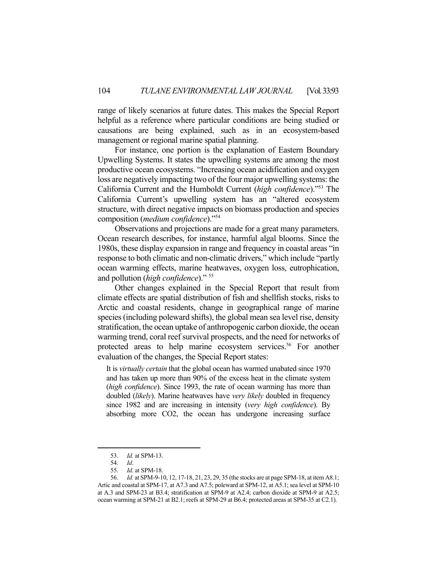range of likely scenarios at future dates. This makes the Special Report helpful as a reference where particular conditions are being studied or causations are being explained, such as in an ecosystem-based management or regional marine spatial planning.

 For instance, one portion is the explanation of Eastern Boundary Upwelling Systems. It states the upwelling systems are among the most productive ocean ecosystems. "Increasing ocean acidification and oxygen loss are negatively impacting two of the four major upwelling systems: the California Current and the Humboldt Current (*high confidence*)."53 The California Current's upwelling system has an "altered ecosystem structure, with direct negative impacts on biomass production and species composition (*medium confidence*)."54

 Observations and projections are made for a great many parameters. Ocean research describes, for instance, harmful algal blooms. Since the 1980s, these display expansion in range and frequency in coastal areas "in response to both climatic and non-climatic drivers," which include "partly ocean warming effects, marine heatwaves, oxygen loss, eutrophication, and pollution (*high confidence*)." 55

 Other changes explained in the Special Report that result from climate effects are spatial distribution of fish and shellfish stocks, risks to Arctic and coastal residents, change in geographical range of marine species (including poleward shifts), the global mean sea level rise, density stratification, the ocean uptake of anthropogenic carbon dioxide, the ocean warming trend, coral reef survival prospects, and the need for networks of protected areas to help marine ecosystem services.<sup>56</sup> For another evaluation of the changes, the Special Report states:

It is *virtually certain* that the global ocean has warmed unabated since 1970 and has taken up more than 90% of the excess heat in the climate system (*high confidence*). Since 1993, the rate of ocean warming has more than doubled (*likely*). Marine heatwaves have *very likely* doubled in frequency since 1982 and are increasing in intensity (*very high confidence*). By absorbing more CO2, the ocean has undergone increasing surface

 <sup>53.</sup> *Id.* at SPM-13.

 <sup>54.</sup> *Id*.

 <sup>55.</sup> *Id*. at SPM-18.

 <sup>56.</sup> *Id.* at SPM-9-10, 12, 17-18, 21, 23, 29, 35 (the stocks are at page SPM-18, at item A8.1; Artic and coastal at SPM-17, at A7.3 and A7.5; poleward at SPM-12, at A5.1; sea level at SPM-10 at A.3 and SPM-23 at B3.4; stratification at SPM-9 at A2.4; carbon dioxide at SPM-9 at A2.5; ocean warming at SPM-21 at B2.1; reefs at SPM-29 at B6.4; protected areas at SPM-35 at C2.1).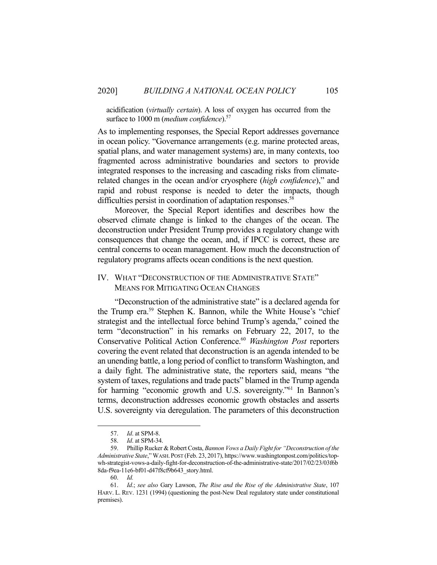acidification (*virtually certain*). A loss of oxygen has occurred from the surface to 1000 m (*medium confidence*).<sup>57</sup>

As to implementing responses, the Special Report addresses governance in ocean policy. "Governance arrangements (e.g. marine protected areas, spatial plans, and water management systems) are, in many contexts, too fragmented across administrative boundaries and sectors to provide integrated responses to the increasing and cascading risks from climaterelated changes in the ocean and/or cryosphere (*high confidence*)," and rapid and robust response is needed to deter the impacts, though difficulties persist in coordination of adaptation responses.<sup>58</sup>

 Moreover, the Special Report identifies and describes how the observed climate change is linked to the changes of the ocean. The deconstruction under President Trump provides a regulatory change with consequences that change the ocean, and, if IPCC is correct, these are central concerns to ocean management. How much the deconstruction of regulatory programs affects ocean conditions is the next question.

## IV. WHAT "DECONSTRUCTION OF THE ADMINISTRATIVE STATE" MEANS FOR MITIGATING OCEAN CHANGES

 "Deconstruction of the administrative state" is a declared agenda for the Trump era.59 Stephen K. Bannon, while the White House's "chief strategist and the intellectual force behind Trump's agenda," coined the term "deconstruction" in his remarks on February 22, 2017, to the Conservative Political Action Conference.60 *Washington Post* reporters covering the event related that deconstruction is an agenda intended to be an unending battle, a long period of conflict to transform Washington, and a daily fight. The administrative state, the reporters said, means "the system of taxes, regulations and trade pacts" blamed in the Trump agenda for harming "economic growth and U.S. sovereignty."<sup>61</sup> In Bannon's terms, deconstruction addresses economic growth obstacles and asserts U.S. sovereignty via deregulation. The parameters of this deconstruction

 <sup>57.</sup> *Id*. at SPM-8.

 <sup>58.</sup> *Id*. at SPM-34.

 <sup>59.</sup> Phillip Rucker & Robert Costa, *Bannon Vows a Daily Fight for "Deconstruction of the Administrative State*," WASH.POST (Feb. 23, 2017), https://www.washingtonpost.com/politics/topwh-strategist-vows-a-daily-fight-for-deconstruction-of-the-administrative-state/2017/02/23/03f6b 8da-f9ea-11e6-bf01-d47f8cf9b643\_story.html.

 <sup>60.</sup> *Id.*

 <sup>61.</sup> *Id*.; *see also* Gary Lawson, *The Rise and the Rise of the Administrative State*, 107 HARV. L. REV. 1231 (1994) (questioning the post-New Deal regulatory state under constitutional premises).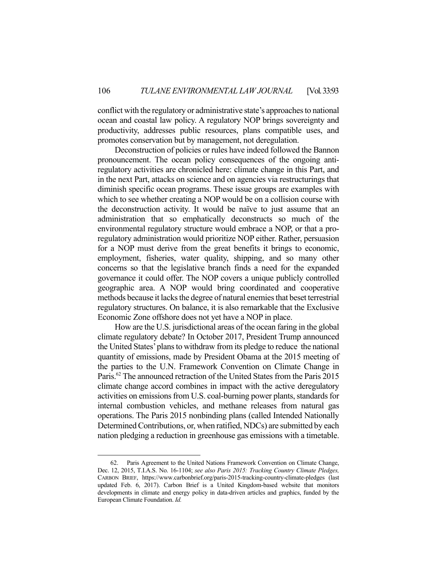conflict with the regulatory or administrative state's approaches to national ocean and coastal law policy. A regulatory NOP brings sovereignty and productivity, addresses public resources, plans compatible uses, and promotes conservation but by management, not deregulation.

 Deconstruction of policies or rules have indeed followed the Bannon pronouncement. The ocean policy consequences of the ongoing antiregulatory activities are chronicled here: climate change in this Part, and in the next Part, attacks on science and on agencies via restructurings that diminish specific ocean programs. These issue groups are examples with which to see whether creating a NOP would be on a collision course with the deconstruction activity. It would be naïve to just assume that an administration that so emphatically deconstructs so much of the environmental regulatory structure would embrace a NOP, or that a proregulatory administration would prioritize NOP either. Rather, persuasion for a NOP must derive from the great benefits it brings to economic, employment, fisheries, water quality, shipping, and so many other concerns so that the legislative branch finds a need for the expanded governance it could offer. The NOP covers a unique publicly controlled geographic area. A NOP would bring coordinated and cooperative methods because it lacks the degree of natural enemies that beset terrestrial regulatory structures. On balance, it is also remarkable that the Exclusive Economic Zone offshore does not yet have a NOP in place.

 How are the U.S. jurisdictional areas of the ocean faring in the global climate regulatory debate? In October 2017, President Trump announced the United States' plans to withdraw from its pledge to reduce the national quantity of emissions, made by President Obama at the 2015 meeting of the parties to the U.N. Framework Convention on Climate Change in Paris.<sup>62</sup> The announced retraction of the United States from the Paris 2015 climate change accord combines in impact with the active deregulatory activities on emissions from U.S. coal-burning power plants, standards for internal combustion vehicles, and methane releases from natural gas operations. The Paris 2015 nonbinding plans (called Intended Nationally Determined Contributions, or, when ratified, NDCs) are submitted by each nation pledging a reduction in greenhouse gas emissions with a timetable.

 <sup>62.</sup> Paris Agreement to the United Nations Framework Convention on Climate Change, Dec. 12, 2015, T.I.A.S. No. 16-1104; *see also Paris 2015: Tracking Country Climate Pledges,*  CARBON BRIEF, https://www.carbonbrief.org/paris-2015-tracking-country-climate-pledges (last updated Feb. 6, 2017). Carbon Brief is a United Kingdom-based website that monitors developments in climate and energy policy in data-driven articles and graphics, funded by the European Climate Foundation. *Id.*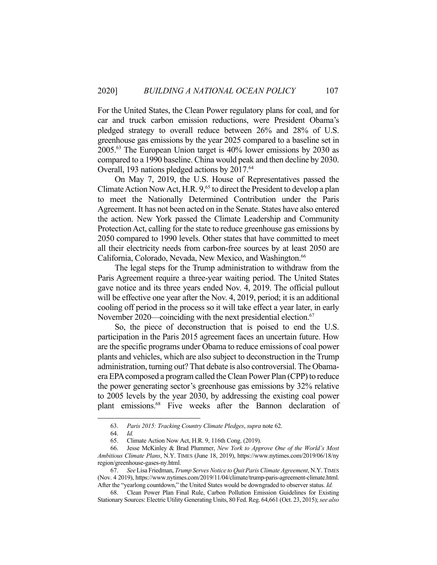For the United States, the Clean Power regulatory plans for coal, and for car and truck carbon emission reductions, were President Obama's pledged strategy to overall reduce between 26% and 28% of U.S. greenhouse gas emissions by the year 2025 compared to a baseline set in 2005.63 The European Union target is 40% lower emissions by 2030 as compared to a 1990 baseline. China would peak and then decline by 2030. Overall, 193 nations pledged actions by 2017.<sup>64</sup>

 On May 7, 2019, the U.S. House of Representatives passed the Climate Action Now Act, H.R.  $9<sub>1</sub><sup>65</sup>$  to direct the President to develop a plan to meet the Nationally Determined Contribution under the Paris Agreement. It has not been acted on in the Senate. States have also entered the action. New York passed the Climate Leadership and Community Protection Act, calling for the state to reduce greenhouse gas emissions by 2050 compared to 1990 levels. Other states that have committed to meet all their electricity needs from carbon-free sources by at least 2050 are California, Colorado, Nevada, New Mexico, and Washington.<sup>66</sup>

 The legal steps for the Trump administration to withdraw from the Paris Agreement require a three-year waiting period. The United States gave notice and its three years ended Nov. 4, 2019. The official pullout will be effective one year after the Nov. 4, 2019, period; it is an additional cooling off period in the process so it will take effect a year later, in early November 2020—coinciding with the next presidential election.<sup>67</sup>

 So, the piece of deconstruction that is poised to end the U.S. participation in the Paris 2015 agreement faces an uncertain future. How are the specific programs under Obama to reduce emissions of coal power plants and vehicles, which are also subject to deconstruction in the Trump administration, turning out? That debate is also controversial. The Obamaera EPA composed a program called the Clean Power Plan (CPP) to reduce the power generating sector's greenhouse gas emissions by 32% relative to 2005 levels by the year 2030, by addressing the existing coal power plant emissions.68 Five weeks after the Bannon declaration of

 <sup>63.</sup> *Paris 2015: Tracking Country Climate Pledges*, *supra* note 62.

 <sup>64.</sup> *Id.* 

 <sup>65.</sup> Climate Action Now Act, H.R. 9, 116th Cong. (2019).

 <sup>66.</sup> Jesse McKinley & Brad Plummer, *New York to Approve One of the World's Most Ambitious Climate Plans*, N.Y. TIMES (June 18, 2019), https://www.nytimes.com/2019/06/18/ny region/greenhouse-gases-ny.html.

 <sup>67.</sup> *See* Lisa Friedman, *Trump Serves Notice to Quit Paris Climate Agreement*, N.Y. TIMES (Nov. 4 2019), https://www.nytimes.com/2019/11/04/climate/trump-paris-agreement-climate.html. After the "yearlong countdown," the United States would be downgraded to observer status. *Id.*

 <sup>68.</sup> Clean Power Plan Final Rule, Carbon Pollution Emission Guidelines for Existing Stationary Sources: Electric Utility Generating Units, 80 Fed. Reg. 64,661 (Oct. 23, 2015); *see also*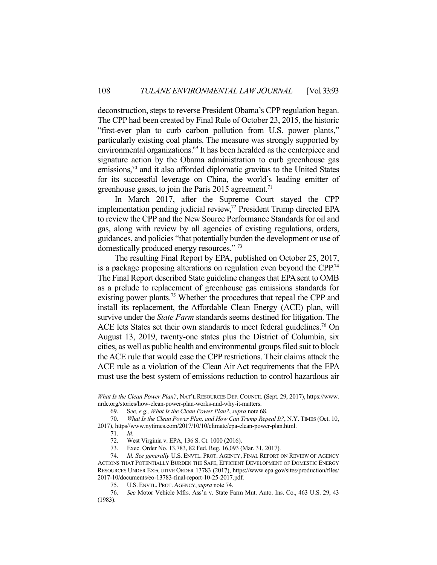deconstruction, steps to reverse President Obama's CPP regulation began. The CPP had been created by Final Rule of October 23, 2015, the historic "first-ever plan to curb carbon pollution from U.S. power plants," particularly existing coal plants. The measure was strongly supported by environmental organizations.69 It has been heralded as the centerpiece and signature action by the Obama administration to curb greenhouse gas emissions, $70$  and it also afforded diplomatic gravitas to the United States for its successful leverage on China, the world's leading emitter of greenhouse gases, to join the Paris 2015 agreement.<sup>71</sup>

 In March 2017, after the Supreme Court stayed the CPP implementation pending judicial review,<sup>72</sup> President Trump directed EPA to review the CPP and the New Source Performance Standards for oil and gas, along with review by all agencies of existing regulations, orders, guidances, and policies "that potentially burden the development or use of domestically produced energy resources." 73

 The resulting Final Report by EPA, published on October 25, 2017, is a package proposing alterations on regulation even beyond the CPP.<sup>74</sup> The Final Report described State guideline changes that EPA sent to OMB as a prelude to replacement of greenhouse gas emissions standards for existing power plants.<sup>75</sup> Whether the procedures that repeal the CPP and install its replacement, the Affordable Clean Energy (ACE) plan, will survive under the *State Farm* standards seems destined for litigation. The ACE lets States set their own standards to meet federal guidelines.<sup>76</sup> On August 13, 2019, twenty-one states plus the District of Columbia, six cities, as well as public health and environmental groups filed suit to block the ACE rule that would ease the CPP restrictions. Their claims attack the ACE rule as a violation of the Clean Air Act requirements that the EPA must use the best system of emissions reduction to control hazardous air

*What Is the Clean Power Plan?*, NAT'L RESOURCES DEF. COUNCIL (Sept. 29, 2017), https://www. nrdc.org/stories/how-clean-power-plan-works-and-why-it-matters.

 <sup>69.</sup> S*ee, e.g., What Is the Clean Power Plan?*, *supra* note 68.

 <sup>70.</sup> *What Is the Clean Power Plan, and How Can Trump Repeal It?*, N.Y. TIMES (Oct. 10, 2017), https//www.nytimes.com/2017/10/10/climate/epa-clean-power-plan.html.

 <sup>71.</sup> *Id*.

 <sup>72.</sup> West Virginia v. EPA, 136 S. Ct. 1000 (2016).

 <sup>73.</sup> Exec. Order No. 13,783, 82 Fed. Reg. 16,093 (Mar. 31, 2017).

 <sup>74.</sup> *Id. See generally* U.S. ENVTL. PROT. AGENCY, FINAL REPORT ON REVIEW OF AGENCY ACTIONS THAT POTENTIALLY BURDEN THE SAFE, EFFICIENT DEVELOPMENT OF DOMESTIC ENERGY RESOURCES UNDER EXECUTIVE ORDER 13783 (2017), https://www.epa.gov/sites/production/files/ 2017-10/documents/eo-13783-final-report-10-25-2017.pdf.

 <sup>75.</sup> U.S. ENVTL. PROT. AGENCY,*supra* note 74.

 <sup>76.</sup> *See* Motor Vehicle Mfrs. Ass'n v. State Farm Mut. Auto. Ins. Co., 463 U.S. 29, 43 (1983).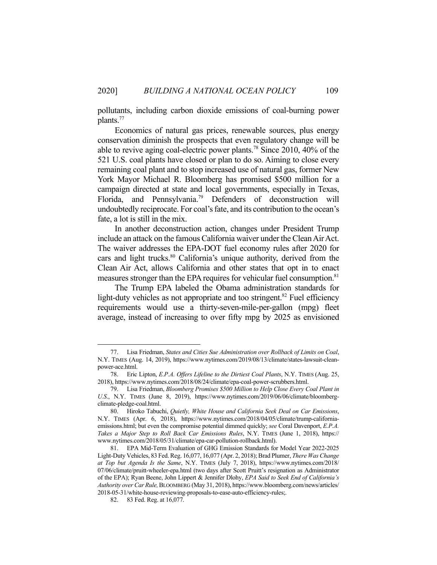pollutants, including carbon dioxide emissions of coal-burning power plants.77

 Economics of natural gas prices, renewable sources, plus energy conservation diminish the prospects that even regulatory change will be able to revive aging coal-electric power plants.<sup>78</sup> Since 2010, 40% of the 521 U.S. coal plants have closed or plan to do so. Aiming to close every remaining coal plant and to stop increased use of natural gas, former New York Mayor Michael R. Bloomberg has promised \$500 million for a campaign directed at state and local governments, especially in Texas, Florida, and Pennsylvania.<sup>79</sup> Defenders of deconstruction will undoubtedly reciprocate. For coal's fate, and its contribution to the ocean's fate, a lot is still in the mix.

 In another deconstruction action, changes under President Trump include an attack on the famous California waiver under the Clean Air Act. The waiver addresses the EPA-DOT fuel economy rules after 2020 for cars and light trucks.<sup>80</sup> California's unique authority, derived from the Clean Air Act, allows California and other states that opt in to enact measures stronger than the EPA requires for vehicular fuel consumption.<sup>81</sup>

 The Trump EPA labeled the Obama administration standards for light-duty vehicles as not appropriate and too stringent.<sup>82</sup> Fuel efficiency requirements would use a thirty-seven-mile-per-gallon (mpg) fleet average, instead of increasing to over fifty mpg by 2025 as envisioned

 <sup>77.</sup> Lisa Friedman, *States and Cities Sue Administration over Rollback of Limits on Coal*, N.Y. TIMES (Aug. 14, 2019), https://www.nytimes.com/2019/08/13/climate/states-lawsuit-cleanpower-ace.html.

 <sup>78.</sup> Eric Lipton, *E.P.A. Offers Lifeline to the Dirtiest Coal Plants*, N.Y. TIMES (Aug. 25, 2018), https://www.nytimes.com/2018/08/24/climate/epa-coal-power-scrubbers.html.

 <sup>79.</sup> Lisa Friedman, *Bloomberg Promises \$500 Million to Help Close Every Coal Plant in U.S*., N.Y. TIMES (June 8, 2019), https://www.nytimes.com/2019/06/06/climate/bloombergclimate-pledge-coal.html.

 <sup>80.</sup> Hiroko Tabuchi, *Quietly, White House and California Seek Deal on Car Emissions*, N.Y. TIMES (Apr. 6, 2018), https://www.nytimes.com/2018/04/05/climate/trump-californiaemissions.html; but even the compromise potential dimmed quickly; *see* Coral Davenport, *E.P.A. Takes a Major Step to Roll Back Car Emissions Rules*, N.Y. TIMES (June 1, 2018), https:// www.nytimes.com/2018/05/31/climate/epa-car-pollution-rollback.html).

 <sup>81.</sup> EPA Mid-Term Evaluation of GHG Emission Standards for Model Year 2022-2025 Light-Duty Vehicles, 83 Fed. Reg. 16,077, 16,077 (Apr. 2, 2018); Brad Plumer, *There Was Change at Top but Agenda Is the Same*, N.Y. TIMES (July 7, 2018), https://www.nytimes.com/2018/ 07/06/climate/pruitt-wheeler-epa.html (two days after Scott Pruitt's resignation as Administrator of the EPA); Ryan Beene, John Lippert & Jennifer Dlohy, *EPA Said to Seek End of California's Authority over Car Rule,*BLOOMBERG (May 31, 2018), https://www.bloomberg.com/news/articles/ 2018-05-31/white-house-reviewing-proposals-to-ease-auto-efficiency-rules;.

 <sup>82. 83</sup> Fed. Reg. at 16,077.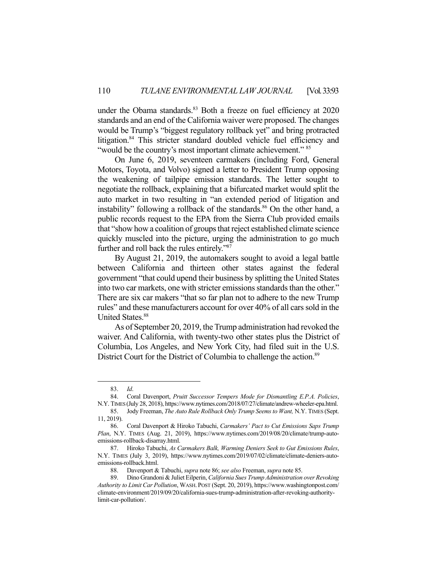under the Obama standards. $83$  Both a freeze on fuel efficiency at 2020 standards and an end of the California waiver were proposed. The changes would be Trump's "biggest regulatory rollback yet" and bring protracted litigation.<sup>84</sup> This stricter standard doubled vehicle fuel efficiency and "would be the country's most important climate achievement." 85

 On June 6, 2019, seventeen carmakers (including Ford, General Motors, Toyota, and Volvo) signed a letter to President Trump opposing the weakening of tailpipe emission standards. The letter sought to negotiate the rollback, explaining that a bifurcated market would split the auto market in two resulting in "an extended period of litigation and instability" following a rollback of the standards. $86$  On the other hand, a public records request to the EPA from the Sierra Club provided emails that "show how a coalition of groups that reject established climate science quickly muscled into the picture, urging the administration to go much further and roll back the rules entirely."87

 By August 21, 2019, the automakers sought to avoid a legal battle between California and thirteen other states against the federal government "that could upend their business by splitting the United States into two car markets, one with stricter emissions standards than the other." There are six car makers "that so far plan not to adhere to the new Trump rules" and these manufacturers account for over 40% of all cars sold in the United States.<sup>88</sup>

 As of September 20, 2019, the Trump administration had revoked the waiver. And California, with twenty-two other states plus the District of Columbia, Los Angeles, and New York City, had filed suit in the U.S. District Court for the District of Columbia to challenge the action.<sup>89</sup>

 <sup>83.</sup> *Id*.

 <sup>84.</sup> Coral Davenport, *Pruitt Successor Tempers Mode for Dismantling E.P.A. Policies*, N.Y. TIMES (July 28, 2018), https://www.nytimes.com/2018/07/27/climate/andrew-wheeler-epa.html.

 <sup>85.</sup> Jody Freeman, *The Auto Rule Rollback Only Trump Seems to Want,* N.Y. TIMES (Sept. 11, 2019).

 <sup>86.</sup> Coral Davenport & Hiroko Tabuchi, *Carmakers' Pact to Cut Emissions Saps Trump Plan*, N.Y. TIMES (Aug. 21, 2019), https://www.nytimes.com/2019/08/20/climate/trump-autoemissions-rollback-disarray.html.

 <sup>87.</sup> Hiroko Tabuchi, *As Carmakers Balk, Warming Deniers Seek to Gut Emissions Rules*, N.Y. TIMES (July 3, 2019), https://www.nytimes.com/2019/07/02/climate/climate-deniers-autoemissions-rollback.html.

 <sup>88.</sup> Davenport & Tabuchi, *supra* note 86; *see also* Freeman, *supra* note 85.

 <sup>89.</sup> Dino Grandoni & Juliet Eilperin, *California Sues Trump Administration over Revoking Authority to Limit Car Pollution*, WASH. POST (Sept. 20, 2019), https://www.washingtonpost.com/ climate-environment/2019/09/20/california-sues-trump-administration-after-revoking-authoritylimit-car-pollution/.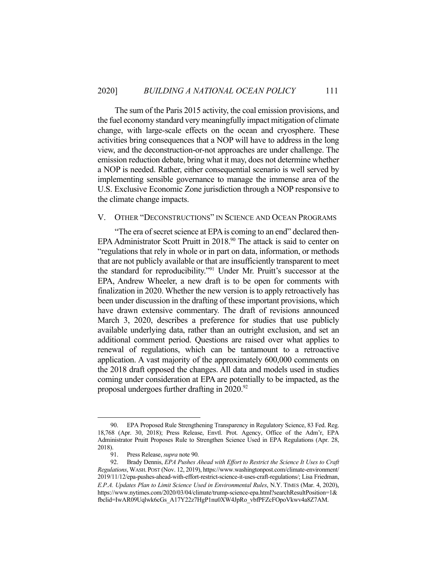The sum of the Paris 2015 activity, the coal emission provisions, and the fuel economy standard very meaningfully impact mitigation of climate change, with large-scale effects on the ocean and cryosphere. These activities bring consequences that a NOP will have to address in the long view, and the deconstruction-or-not approaches are under challenge. The emission reduction debate, bring what it may, does not determine whether a NOP is needed. Rather, either consequential scenario is well served by implementing sensible governance to manage the immense area of the U.S. Exclusive Economic Zone jurisdiction through a NOP responsive to the climate change impacts.

### V. OTHER "DECONSTRUCTIONS" IN SCIENCE AND OCEAN PROGRAMS

 "The era of secret science at EPA is coming to an end" declared then-EPA Administrator Scott Pruitt in 2018.<sup>90</sup> The attack is said to center on "regulations that rely in whole or in part on data, information, or methods that are not publicly available or that are insufficiently transparent to meet the standard for reproducibility."91 Under Mr. Pruitt's successor at the EPA, Andrew Wheeler, a new draft is to be open for comments with finalization in 2020. Whether the new version is to apply retroactively has been under discussion in the drafting of these important provisions, which have drawn extensive commentary. The draft of revisions announced March 3, 2020, describes a preference for studies that use publicly available underlying data, rather than an outright exclusion, and set an additional comment period. Questions are raised over what applies to renewal of regulations, which can be tantamount to a retroactive application. A vast majority of the approximately 600,000 comments on the 2018 draft opposed the changes. All data and models used in studies coming under consideration at EPA are potentially to be impacted, as the proposal undergoes further drafting in 2020.<sup>92</sup>

EPA Proposed Rule Strengthening Transparency in Regulatory Science, 83 Fed. Reg. 18,768 (Apr. 30, 2018); Press Release, Envtl. Prot. Agency, Office of the Adm'r, EPA Administrator Pruitt Proposes Rule to Strengthen Science Used in EPA Regulations (Apr. 28, 2018).

 <sup>91.</sup> Press Release, *supra* note 90.

 <sup>92.</sup> Brady Dennis, *EPA Pushes Ahead with Effort to Restrict the Science It Uses to Craft Regulations*, WASH. POST (Nov. 12, 2019), https://www.washingtonpost.com/climate-environment/ 2019/11/12/epa-pushes-ahead-with-effort-restrict-science-it-uses-craft-regulations/; Lisa Friedman, *E.P.A. Updates Plan to Limit Science Used in Environmental Rules*, N.Y. TIMES (Mar. 4, 2020), https://www.nytimes.com/2020/03/04/climate/trump-science-epa.html?searchResultPosition=1& fbclid=IwAR09Uqlwk6cGs\_A17Y22z7HgP1nu0XW4JpRo\_vbfPFZcFOpoVkwv4a8Z7AM.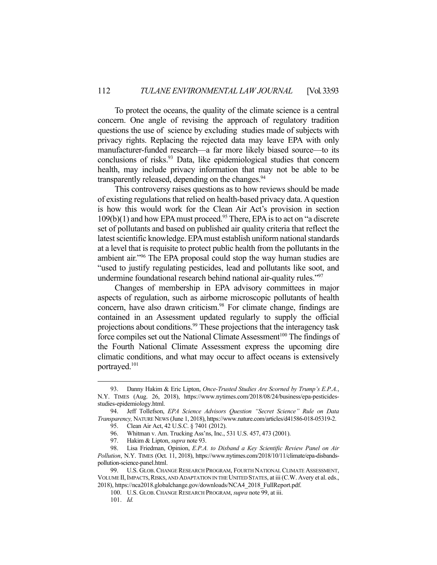To protect the oceans, the quality of the climate science is a central concern. One angle of revising the approach of regulatory tradition questions the use of science by excluding studies made of subjects with privacy rights. Replacing the rejected data may leave EPA with only manufacturer-funded research—a far more likely biased source—to its conclusions of risks.<sup>93</sup> Data, like epidemiological studies that concern health, may include privacy information that may not be able to be transparently released, depending on the changes.<sup>94</sup>

 This controversy raises questions as to how reviews should be made of existing regulations that relied on health-based privacy data. A question is how this would work for the Clean Air Act's provision in section  $109(b)(1)$  and how EPA must proceed.<sup>95</sup> There, EPA is to act on "a discrete" set of pollutants and based on published air quality criteria that reflect the latest scientific knowledge. EPA must establish uniform national standards at a level that is requisite to protect public health from the pollutants in the ambient air."96 The EPA proposal could stop the way human studies are "used to justify regulating pesticides, lead and pollutants like soot, and undermine foundational research behind national air-quality rules."<sup>97</sup>

 Changes of membership in EPA advisory committees in major aspects of regulation, such as airborne microscopic pollutants of health concern, have also drawn criticism.<sup>98</sup> For climate change, findings are contained in an Assessment updated regularly to supply the official projections about conditions.<sup>99</sup> These projections that the interagency task force compiles set out the National Climate Assessment<sup>100</sup> The findings of the Fourth National Climate Assessment express the upcoming dire climatic conditions, and what may occur to affect oceans is extensively portrayed.101

 <sup>93.</sup> Danny Hakim & Eric Lipton, *Once-Trusted Studies Are Scorned by Trump's E.P.A.*, N.Y. TIMES (Aug. 26, 2018), https://www.nytimes.com/2018/08/24/business/epa-pesticidesstudies-epidemiology.html.

 <sup>94.</sup> Jeff Tollefson, *EPA Science Advisors Question "Secret Science" Rule on Data Transparency,* NATURE NEWS (June 1, 2018), https://www.nature.com/articles/d41586-018-05319-2.

 <sup>95.</sup> Clean Air Act, 42 U.S.C. § 7401 (2012).

 <sup>96.</sup> Whitman v. Am. Trucking Ass'ns, Inc., 531 U.S. 457, 473 (2001).

 <sup>97.</sup> Hakim & Lipton, *supra* note 93.

 <sup>98.</sup> Lisa Friedman, Opinion, *E.P.A. to Disband a Key Scientific Review Panel on Air Pollution*, N.Y. TIMES (Oct. 11, 2018), https://www.nytimes.com/2018/10/11/climate/epa-disbandspollution-science-panel.html.

 <sup>99.</sup> U.S. GLOB. CHANGE RESEARCH PROGRAM, FOURTH NATIONAL CLIMATE ASSESSMENT, VOLUME II, IMPACTS, RISKS, AND ADAPTATION IN THE UNITED STATES, at iii (C.W. Avery et al. eds., 2018), https://nca2018.globalchange.gov/downloads/NCA4\_2018\_FullReport.pdf.

 <sup>100.</sup> U.S. GLOB.CHANGE RESEARCH PROGRAM, *supra* note 99, at iii.

 <sup>101.</sup> *Id.*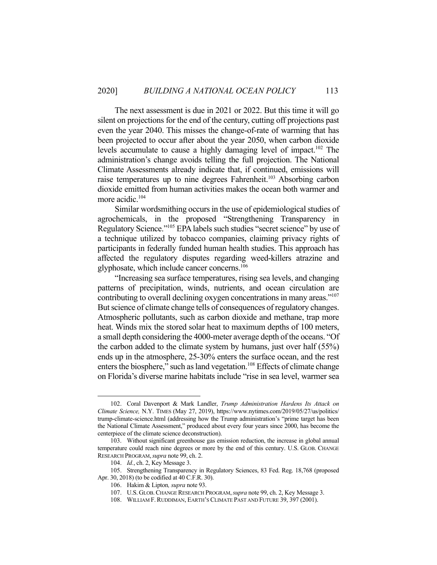The next assessment is due in 2021 or 2022. But this time it will go silent on projections for the end of the century, cutting off projections past even the year 2040. This misses the change-of-rate of warming that has been projected to occur after about the year 2050, when carbon dioxide levels accumulate to cause a highly damaging level of impact.<sup>102</sup> The administration's change avoids telling the full projection. The National Climate Assessments already indicate that, if continued, emissions will raise temperatures up to nine degrees Fahrenheit.<sup>103</sup> Absorbing carbon dioxide emitted from human activities makes the ocean both warmer and more acidic.<sup>104</sup>

 Similar wordsmithing occurs in the use of epidemiological studies of agrochemicals, in the proposed "Strengthening Transparency in Regulatory Science."105 EPA labels such studies "secret science" by use of a technique utilized by tobacco companies, claiming privacy rights of participants in federally funded human health studies. This approach has affected the regulatory disputes regarding weed-killers atrazine and glyphosate, which include cancer concerns.<sup>106</sup>

 "Increasing sea surface temperatures, rising sea levels, and changing patterns of precipitation, winds, nutrients, and ocean circulation are contributing to overall declining oxygen concentrations in many areas."107 But science of climate change tells of consequences of regulatory changes. Atmospheric pollutants, such as carbon dioxide and methane, trap more heat. Winds mix the stored solar heat to maximum depths of 100 meters, a small depth considering the 4000-meter average depth of the oceans. "Of the carbon added to the climate system by humans, just over half (55%) ends up in the atmosphere, 25-30% enters the surface ocean, and the rest enters the biosphere," such as land vegetation.<sup>108</sup> Effects of climate change on Florida's diverse marine habitats include "rise in sea level, warmer sea

 <sup>102.</sup> Coral Davenport & Mark Landler, *Trump Administration Hardens Its Attack on Climate Science,* N.Y. TIMES (May 27, 2019), https://www.nytimes.com/2019/05/27/us/politics/ trump-climate-science.html (addressing how the Trump administration's "prime target has been the National Climate Assessment," produced about every four years since 2000, has become the centerpiece of the climate science deconstruction).

 <sup>103.</sup> Without significant greenhouse gas emission reduction, the increase in global annual temperature could reach nine degrees or more by the end of this century. U.S. GLOB. CHANGE RESEARCH PROGRAM,*supra* note 99, ch. 2.

 <sup>104.</sup> *Id.*, ch. 2, Key Message 3.

 <sup>105.</sup> Strengthening Transparency in Regulatory Sciences, 83 Fed. Reg. 18,768 (proposed Apr. 30, 2018) (to be codified at 40 C.F.R. 30).

 <sup>106.</sup> Hakim & Lipton*, supra* note 93.

 <sup>107.</sup> U.S. GLOB.CHANGE RESEARCH PROGRAM,*supra* note 99, ch. 2, Key Message 3.

 <sup>108.</sup> WILLIAM F.RUDDIMAN, EARTH'S CLIMATE PAST AND FUTURE 39, 397 (2001).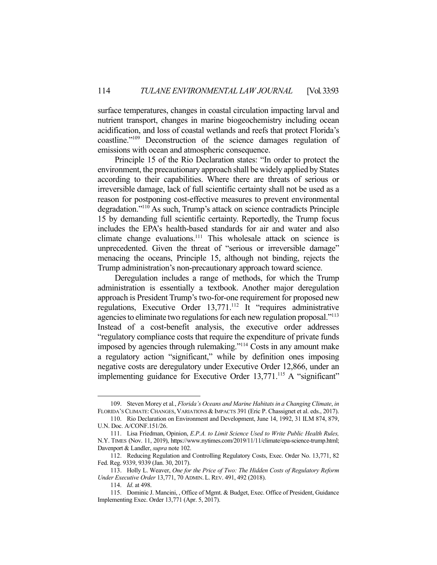surface temperatures, changes in coastal circulation impacting larval and nutrient transport, changes in marine biogeochemistry including ocean acidification, and loss of coastal wetlands and reefs that protect Florida's coastline."109 Deconstruction of the science damages regulation of emissions with ocean and atmospheric consequence.

 Principle 15 of the Rio Declaration states: "In order to protect the environment, the precautionary approach shall be widely applied by States according to their capabilities. Where there are threats of serious or irreversible damage, lack of full scientific certainty shall not be used as a reason for postponing cost-effective measures to prevent environmental degradation."110 As such, Trump's attack on science contradicts Principle 15 by demanding full scientific certainty. Reportedly, the Trump focus includes the EPA's health-based standards for air and water and also climate change evaluations.111 This wholesale attack on science is unprecedented. Given the threat of "serious or irreversible damage" menacing the oceans, Principle 15, although not binding, rejects the Trump administration's non-precautionary approach toward science.

Deregulation includes a range of methods, for which the Trump administration is essentially a textbook. Another major deregulation approach is President Trump's two-for-one requirement for proposed new regulations, Executive Order 13,771.<sup>112</sup> It "requires administrative agencies to eliminate two regulations for each new regulation proposal."<sup>113</sup> Instead of a cost-benefit analysis, the executive order addresses "regulatory compliance costs that require the expenditure of private funds imposed by agencies through rulemaking."114 Costs in any amount make a regulatory action "significant," while by definition ones imposing negative costs are deregulatory under Executive Order 12,866, under an implementing guidance for Executive Order 13,771.<sup>115</sup> A "significant"

 <sup>109.</sup> Steven Morey et al*.*, *Florida's Oceans and Marine Habitats in a Changing Climate*, *in*  FLORIDA'S CLIMATE:CHANGES, VARIATIONS & IMPACTS 391 (Eric P. Chassignet et al. eds., 2017).

 <sup>110.</sup> Rio Declaration on Environment and Development, June 14, 1992, 31 ILM 874, 879, U.N. Doc. A/CONF.151/26.

 <sup>111.</sup> Lisa Friedman, Opinion, *E.P.A. to Limit Science Used to Write Public Health Rules,*  N.Y. TIMES (Nov. 11, 2019), https://www.nytimes.com/2019/11/11/climate/epa-science-trump.html; Davenport & Landler, *supra* note 102.

 <sup>112.</sup> Reducing Regulation and Controlling Regulatory Costs, Exec. Order No. 13,771, 82 Fed. Reg. 9339, 9339 (Jan. 30, 2017).

 <sup>113.</sup> Holly L. Weaver, *One for the Price of Two: The Hidden Costs of Regulatory Reform Under Executive Order* 13,771, 70 ADMIN. L.REV. 491, 492 (2018).

 <sup>114.</sup> *Id*. at 498.

 <sup>115.</sup> Dominic J. Mancini, , Office of Mgmt. & Budget, Exec. Office of President, Guidance Implementing Exec. Order 13,771 (Apr. 5, 2017).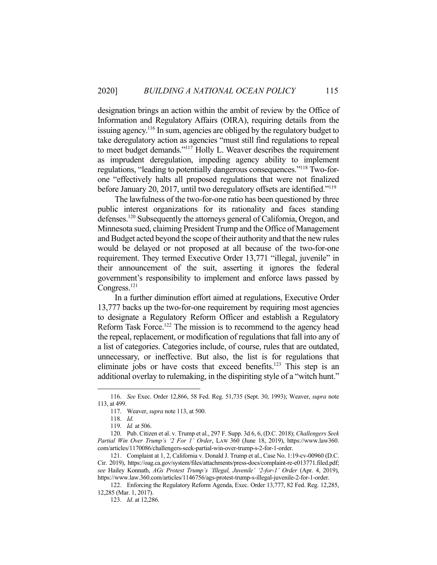designation brings an action within the ambit of review by the Office of Information and Regulatory Affairs (OIRA), requiring details from the issuing agency.116 In sum, agencies are obliged by the regulatory budget to take deregulatory action as agencies "must still find regulations to repeal to meet budget demands."117 Holly L. Weaver describes the requirement as imprudent deregulation, impeding agency ability to implement regulations, "leading to potentially dangerous consequences."118 Two-forone "effectively halts all proposed regulations that were not finalized before January 20, 2017, until two deregulatory offsets are identified."119

 The lawfulness of the two-for-one ratio has been questioned by three public interest organizations for its rationality and faces standing defenses.<sup>120</sup> Subsequently the attorneys general of California, Oregon, and Minnesota sued, claiming President Trump and the Office of Management and Budget acted beyond the scope of their authority and that the new rules would be delayed or not proposed at all because of the two-for-one requirement. They termed Executive Order 13,771 "illegal, juvenile" in their announcement of the suit, asserting it ignores the federal government's responsibility to implement and enforce laws passed by Congress.<sup>121</sup>

 In a further diminution effort aimed at regulations, Executive Order 13,777 backs up the two-for-one requirement by requiring most agencies to designate a Regulatory Reform Officer and establish a Regulatory Reform Task Force.<sup>122</sup> The mission is to recommend to the agency head the repeal, replacement, or modification of regulations that fall into any of a list of categories. Categories include, of course, rules that are outdated, unnecessary, or ineffective. But also, the list is for regulations that eliminate jobs or have costs that exceed benefits.<sup>123</sup> This step is an additional overlay to rulemaking, in the dispiriting style of a "witch hunt."

 <sup>116.</sup> *See* Exec. Order 12,866, 58 Fed. Reg. 51,735 (Sept. 30, 1993); Weaver, *supra* note 113, at 499.

 <sup>117.</sup> Weaver, *supra* note 113, at 500.

 <sup>118.</sup> *Id.*

 <sup>119.</sup> *Id.* at 506.

 <sup>120.</sup> Pub. Citizen et al. v. Trump et al., 297 F. Supp. 3d 6, 6, (D.C. 2018); *Challengers Seek Partial Win Over Trump's '2 For 1' Order*, LAW 360 (June 18, 2019), https://www.law360. com/articles/1170086/challengers-seek-partial-win-over-trump-s-2-for-1-order.

 <sup>121.</sup> Complaint at 1, 2, California v. Donald J. Trump et al., Case No. 1:19-cv-00960 (D.C. Cir. 2019), https://oag.ca.gov/system/files/attachments/press-docs/complaint-re-e013771.filed.pdf; *see* Hailey Konnath, *AGs Protest Trump's 'Illegal, Juvenile' '2-for-1' Order* (Apr. 4, 2019), https://www.law.360.com/articles/1146756/ags-protest-trump-s-illegal-juvenile-2-for-1-order.

 <sup>122.</sup> Enforcing the Regulatory Reform Agenda, Exec. Order 13,777, 82 Fed. Reg. 12,285, 12,285 (Mar. 1, 2017).

 <sup>123.</sup> *Id*. at 12,286.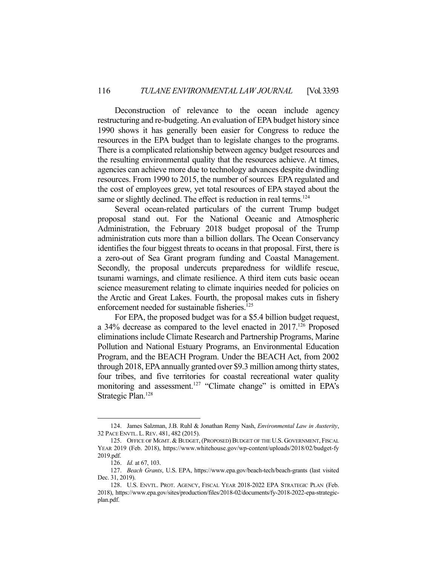Deconstruction of relevance to the ocean include agency restructuring and re-budgeting. An evaluation of EPA budget history since 1990 shows it has generally been easier for Congress to reduce the resources in the EPA budget than to legislate changes to the programs. There is a complicated relationship between agency budget resources and the resulting environmental quality that the resources achieve. At times, agencies can achieve more due to technology advances despite dwindling resources. From 1990 to 2015, the number of sources EPA regulated and the cost of employees grew, yet total resources of EPA stayed about the same or slightly declined. The effect is reduction in real terms.<sup>124</sup>

 Several ocean-related particulars of the current Trump budget proposal stand out. For the National Oceanic and Atmospheric Administration, the February 2018 budget proposal of the Trump administration cuts more than a billion dollars. The Ocean Conservancy identifies the four biggest threats to oceans in that proposal. First, there is a zero-out of Sea Grant program funding and Coastal Management. Secondly, the proposal undercuts preparedness for wildlife rescue, tsunami warnings, and climate resilience. A third item cuts basic ocean science measurement relating to climate inquiries needed for policies on the Arctic and Great Lakes. Fourth, the proposal makes cuts in fishery enforcement needed for sustainable fisheries.<sup>125</sup>

 For EPA, the proposed budget was for a \$5.4 billion budget request, a 34% decrease as compared to the level enacted in 2017.<sup>126</sup> Proposed eliminations include Climate Research and Partnership Programs, Marine Pollution and National Estuary Programs, an Environmental Education Program, and the BEACH Program. Under the BEACH Act, from 2002 through 2018, EPA annually granted over \$9.3 million among thirty states, four tribes, and five territories for coastal recreational water quality monitoring and assessment.<sup>127</sup> "Climate change" is omitted in EPA's Strategic Plan.128

 <sup>124.</sup> James Salzman, J.B. Ruhl & Jonathan Remy Nash, *Environmental Law in Austerity*, 32 PACE ENVTL. L.REV. 481, 482 (2015).

 <sup>125.</sup> OFFICE OF MGMT. & BUDGET,(PROPOSED) BUDGET OF THE U.S. GOVERNMENT, FISCAL YEAR 2019 (Feb. 2018), https://www.whitehouse.gov/wp-content/uploads/2018/02/budget-fy 2019.pdf.

 <sup>126.</sup> *Id.* at 67, 103.

 <sup>127.</sup> *Beach Grants*, U.S. EPA, https://www.epa.gov/beach-tech/beach-grants (last visited Dec. 31, 2019).

 <sup>128.</sup> U.S. ENVTL. PROT. AGENCY, FISCAL YEAR 2018-2022 EPA STRATEGIC PLAN (Feb. 2018), https://www.epa.gov/sites/production/files/2018-02/documents/fy-2018-2022-epa-strategicplan.pdf.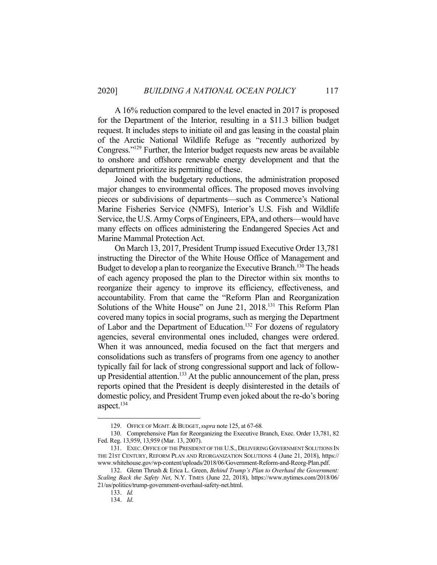A 16% reduction compared to the level enacted in 2017 is proposed for the Department of the Interior, resulting in a \$11.3 billion budget request. It includes steps to initiate oil and gas leasing in the coastal plain of the Arctic National Wildlife Refuge as "recently authorized by Congress."129 Further, the Interior budget requests new areas be available to onshore and offshore renewable energy development and that the department prioritize its permitting of these.

 Joined with the budgetary reductions, the administration proposed major changes to environmental offices. The proposed moves involving pieces or subdivisions of departments—such as Commerce's National Marine Fisheries Service (NMFS), Interior's U.S. Fish and Wildlife Service, the U.S. Army Corps of Engineers, EPA, and others—would have many effects on offices administering the Endangered Species Act and Marine Mammal Protection Act.

 On March 13, 2017, President Trump issued Executive Order 13,781 instructing the Director of the White House Office of Management and Budget to develop a plan to reorganize the Executive Branch.<sup>130</sup> The heads of each agency proposed the plan to the Director within six months to reorganize their agency to improve its efficiency, effectiveness, and accountability. From that came the "Reform Plan and Reorganization Solutions of the White House" on June 21, 2018.<sup>131</sup> This Reform Plan covered many topics in social programs, such as merging the Department of Labor and the Department of Education.<sup>132</sup> For dozens of regulatory agencies, several environmental ones included, changes were ordered. When it was announced, media focused on the fact that mergers and consolidations such as transfers of programs from one agency to another typically fail for lack of strong congressional support and lack of followup Presidential attention.<sup>133</sup> At the public announcement of the plan, press reports opined that the President is deeply disinterested in the details of domestic policy, and President Trump even joked about the re-do's boring aspect.<sup>134</sup>

 <sup>129.</sup> OFFICE OF MGMT. & BUDGET,*supra* note 125, at 67-68*.*

 <sup>130.</sup> Comprehensive Plan for Reorganizing the Executive Branch, Exec. Order 13,781, 82 Fed. Reg. 13,959, 13,959 (Mar. 13, 2007).

<sup>131.</sup> EXEC. OFFICE OF THE PRESIDENT OF THE U.S., DELIVERING GOVERNMENT SOLUTIONS IN THE 21ST CENTURY, REFORM PLAN AND REORGANIZATION SOLUTIONS 4 (June 21, 2018), https:// www.whitehouse.gov/wp-content/uploads/2018/06/Government-Reform-and-Reorg-Plan.pdf.

 <sup>132.</sup> Glenn Thrush & Erica L. Green, *Behind Trump's Plan to Overhaul the Government: Scaling Back the Safety Net*, N.Y. TIMES (June 22, 2018), https://www.nytimes.com/2018/06/ 21/us/politics/trump-government-overhaul-safety-net.html.

 <sup>133.</sup> *Id.*

 <sup>134.</sup> *Id*.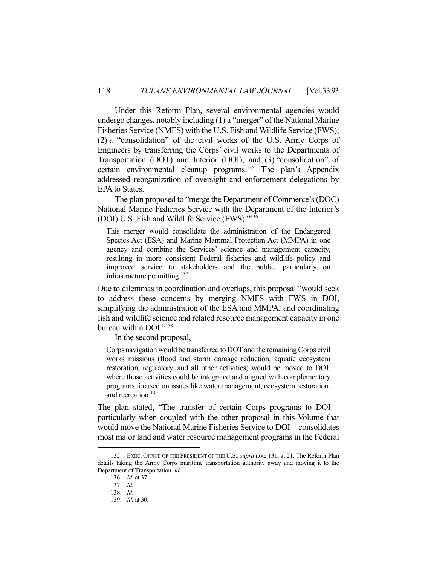Under this Reform Plan, several environmental agencies would undergo changes, notably including (1) a "merger" of the National Marine Fisheries Service (NMFS) with the U.S. Fish and Wildlife Service (FWS); (2) a "consolidation" of the civil works of the U.S. Army Corps of Engineers by transferring the Corps' civil works to the Departments of Transportation (DOT) and Interior (DOI); and (3) "consolidation" of certain environmental cleanup programs.135 The plan's Appendix addressed reorganization of oversight and enforcement delegations by EPA to States.

 The plan proposed to "merge the Department of Commerce's (DOC) National Marine Fisheries Service with the Department of the Interior's (DOI) U.S. Fish and Wildlife Service (FWS)."136

This merger would consolidate the administration of the Endangered Species Act (ESA) and Marine Mammal Protection Act (MMPA) in one agency and combine the Services' science and management capacity, resulting in more consistent Federal fisheries and wildlife policy and improved service to stakeholders and the public, particularly on infrastructure permitting. $137$ 

Due to dilemmas in coordination and overlaps, this proposal "would seek to address these concerns by merging NMFS with FWS in DOI, simplifying the administration of the ESA and MMPA, and coordinating fish and wildlife science and related resource management capacity in one bureau within DOI."138

In the second proposal,

Corps navigation would be transferred to DOT and the remaining Corps civil works missions (flood and storm damage reduction, aquatic ecosystem restoration, regulatory, and all other activities) would be moved to DOI, where those activities could be integrated and aligned with complementary programs focused on issues like water management, ecosystem restoration, and recreation.<sup>139</sup>

The plan stated, "The transfer of certain Corps programs to DOI particularly when coupled with the other proposal in this Volume that would move the National Marine Fisheries Service to DOI—consolidates most major land and water resource management programs in the Federal

 <sup>135.</sup> EXEC. OFFICE OF THE PRESIDENT OF THE U.S.,*supra* note 131, at 21. The Reform Plan details taking the Army Corps maritime transportation authority away and moving it to the Department of Transportation. *Id.*

 <sup>136.</sup> *Id.* at 37.

 <sup>137.</sup> *Id.*

 <sup>138.</sup> *Id*.

 <sup>139.</sup> *Id.* at 30.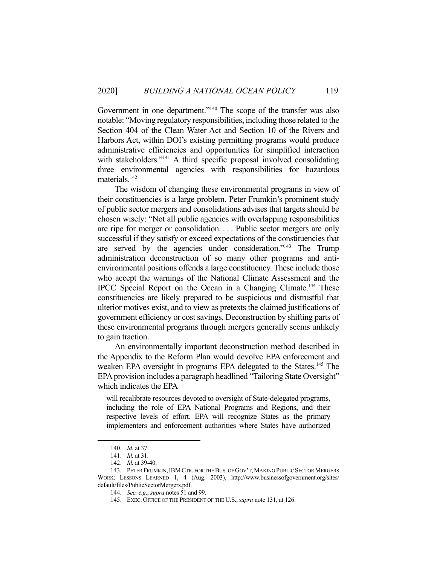Government in one department."<sup>140</sup> The scope of the transfer was also notable: "Moving regulatory responsibilities, including those related to the Section 404 of the Clean Water Act and Section 10 of the Rivers and Harbors Act, within DOI's existing permitting programs would produce administrative efficiencies and opportunities for simplified interaction with stakeholders."<sup>141</sup> A third specific proposal involved consolidating three environmental agencies with responsibilities for hazardous materials.<sup>142</sup>

 The wisdom of changing these environmental programs in view of their constituencies is a large problem. Peter Frumkin's prominent study of public sector mergers and consolidations advises that targets should be chosen wisely: "Not all public agencies with overlapping responsibilities are ripe for merger or consolidation. . . . Public sector mergers are only successful if they satisfy or exceed expectations of the constituencies that are served by the agencies under consideration."143 The Trump administration deconstruction of so many other programs and antienvironmental positions offends a large constituency. These include those who accept the warnings of the National Climate Assessment and the IPCC Special Report on the Ocean in a Changing Climate.<sup>144</sup> These constituencies are likely prepared to be suspicious and distrustful that ulterior motives exist, and to view as pretexts the claimed justifications of government efficiency or cost savings. Deconstruction by shifting parts of these environmental programs through mergers generally seems unlikely to gain traction.

 An environmentally important deconstruction method described in the Appendix to the Reform Plan would devolve EPA enforcement and weaken EPA oversight in programs EPA delegated to the States.<sup>145</sup> The EPA provision includes a paragraph headlined "Tailoring State Oversight" which indicates the EPA

will recalibrate resources devoted to oversight of State-delegated programs, including the role of EPA National Programs and Regions, and their respective levels of effort. EPA will recognize States as the primary implementers and enforcement authorities where States have authorized

 <sup>140.</sup> *Id.* at 37

 <sup>141.</sup> *Id.* at 31.

 <sup>142.</sup> *Id.* at 39-40.

<sup>143.</sup> PETER FRUMKIN, IBM CTR. FOR THE BUS. OF GOV'T, MAKING PUBLIC SECTOR MERGERS WORK: LESSONS LEARNED 1, 4 (Aug. 2003), http://www.businessofgovernment.org/sites/ default/files/PublicSectorMergers.pdf.

 <sup>144.</sup> *See, e.g*., *supra* notes 51 and 99.

 <sup>145.</sup> EXEC. OFFICE OF THE PRESIDENT OF THE U.S.,*supra* note 131, at 126.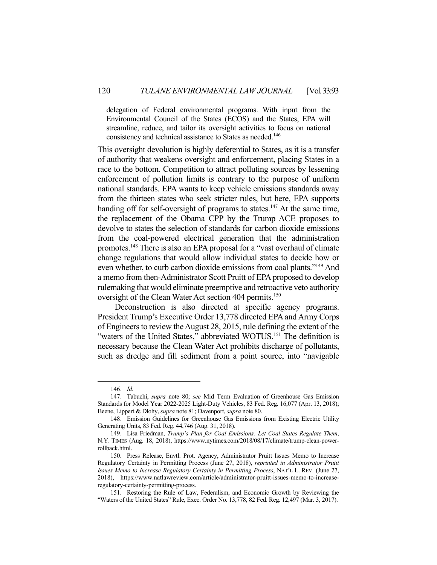delegation of Federal environmental programs. With input from the Environmental Council of the States (ECOS) and the States, EPA will streamline, reduce, and tailor its oversight activities to focus on national consistency and technical assistance to States as needed.<sup>146</sup>

This oversight devolution is highly deferential to States, as it is a transfer of authority that weakens oversight and enforcement, placing States in a race to the bottom. Competition to attract polluting sources by lessening enforcement of pollution limits is contrary to the purpose of uniform national standards. EPA wants to keep vehicle emissions standards away from the thirteen states who seek stricter rules, but here, EPA supports handing off for self-oversight of programs to states.<sup>147</sup> At the same time, the replacement of the Obama CPP by the Trump ACE proposes to devolve to states the selection of standards for carbon dioxide emissions from the coal-powered electrical generation that the administration promotes.148 There is also an EPA proposal for a "vast overhaul of climate change regulations that would allow individual states to decide how or even whether, to curb carbon dioxide emissions from coal plants."149 And a memo from then-Administrator Scott Pruitt of EPA proposed to develop rulemaking that would eliminate preemptive and retroactive veto authority oversight of the Clean Water Act section 404 permits.<sup>150</sup>

 Deconstruction is also directed at specific agency programs. President Trump's Executive Order 13,778 directed EPA and Army Corps of Engineers to review the August 28, 2015, rule defining the extent of the "waters of the United States," abbreviated WOTUS.<sup>151</sup> The definition is necessary because the Clean Water Act prohibits discharge of pollutants, such as dredge and fill sediment from a point source, into "navigable

 <sup>146.</sup> *Id.*

 <sup>147.</sup> Tabuchi, *supra* note 80; *see* Mid Term Evaluation of Greenhouse Gas Emission Standards for Model Year 2022-2025 Light-Duty Vehicles, 83 Fed. Reg. 16,077 (Apr. 13, 2018); Beene, Lippert & Dlohy, *supra* note 81; Davenport, *supra* note 80.

 <sup>148.</sup> Emission Guidelines for Greenhouse Gas Emissions from Existing Electric Utility Generating Units, 83 Fed. Reg. 44,746 (Aug. 31, 2018).

 <sup>149.</sup> Lisa Friedman, *Trump's Plan for Coal Emissions: Let Coal States Regulate Them*, N.Y. TIMES (Aug. 18, 2018), https://www.nytimes.com/2018/08/17/climate/trump-clean-powerrollback.html.

 <sup>150.</sup> Press Release, Envtl. Prot. Agency, Administrator Pruitt Issues Memo to Increase Regulatory Certainty in Permitting Process (June 27, 2018), *reprinted in Administrator Pruitt Issues Memo to Increase Regulatory Certainty in Permitting Process*, NAT'L L. REV. (June 27, 2018), https://www.natlawreview.com/article/administrator-pruitt-issues-memo-to-increaseregulatory-certainty-permitting-process.

 <sup>151.</sup> Restoring the Rule of Law, Federalism, and Economic Growth by Reviewing the "Waters of the United States" Rule, Exec. Order No. 13,778, 82 Fed. Reg. 12,497 (Mar. 3, 2017).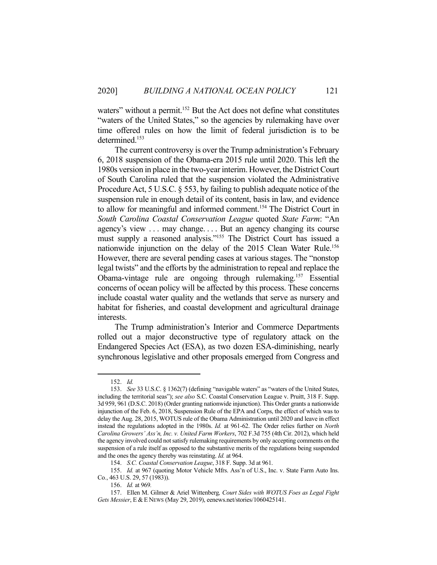waters" without a permit.<sup>152</sup> But the Act does not define what constitutes "waters of the United States," so the agencies by rulemaking have over time offered rules on how the limit of federal jurisdiction is to be determined.<sup>153</sup>

 The current controversy is over the Trump administration's February 6, 2018 suspension of the Obama-era 2015 rule until 2020. This left the 1980s version in place in the two-year interim. However, the District Court of South Carolina ruled that the suspension violated the Administrative Procedure Act, 5 U.S.C. § 553, by failing to publish adequate notice of the suspension rule in enough detail of its content, basis in law, and evidence to allow for meaningful and informed comment.<sup>154</sup> The District Court in *South Carolina Coastal Conservation League* quoted *State Farm*: "An agency's view . . . may change. . . . But an agency changing its course must supply a reasoned analysis."155 The District Court has issued a nationwide injunction on the delay of the 2015 Clean Water Rule. 156 However, there are several pending cases at various stages. The "nonstop legal twists" and the efforts by the administration to repeal and replace the Obama-vintage rule are ongoing through rulemaking.157 Essential concerns of ocean policy will be affected by this process. These concerns include coastal water quality and the wetlands that serve as nursery and habitat for fisheries, and coastal development and agricultural drainage interests.

 The Trump administration's Interior and Commerce Departments rolled out a major deconstructive type of regulatory attack on the Endangered Species Act (ESA), as two dozen ESA-diminishing, nearly synchronous legislative and other proposals emerged from Congress and

 <sup>152.</sup> *Id.*

 <sup>153.</sup> *See* 33 U.S.C. § 1362(7) (defining "navigable waters" as "waters of the United States, including the territorial seas"); *see also* S.C. Coastal Conservation League v. Pruitt, 318 F. Supp. 3d 959, 961 (D.S.C. 2018) (Order granting nationwide injunction). This Order grants a nationwide injunction of the Feb. 6, 2018, Suspension Rule of the EPA and Corps, the effect of which was to delay the Aug. 28, 2015, WOTUS rule of the Obama Administration until 2020 and leave in effect instead the regulations adopted in the 1980s. *Id.* at 961-62. The Order relies further on *North Carolina Growers' Ass'n, Inc. v. United Farm Workers*, 702 F.3d 755 (4th Cir. 2012), which held the agency involved could not satisfy rulemaking requirements by only accepting comments on the suspension of a rule itself as opposed to the substantive merits of the regulations being suspended and the ones the agency thereby was reinstating. *Id.* at 964.

 <sup>154.</sup> *S.C. Coastal Conservation League*, 318 F. Supp. 3d at 961.

 <sup>155.</sup> *Id.* at 967 (quoting Motor Vehicle Mfrs. Ass'n of U.S., Inc. v. State Farm Auto Ins. Co*.*, 463 U.S. 29, 57 (1983)).

 <sup>156.</sup> *Id.* at 969*.*

 <sup>157.</sup> Ellen M. Gilmer & Ariel Wittenberg*, Court Sides with WOTUS Foes as Legal Fight Gets Messier*, E &E NEWS (May 29, 2019), eenews.net/stories/1060425141.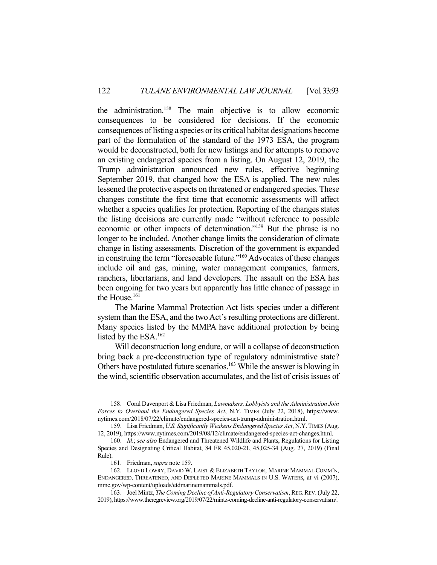the administration.158 The main objective is to allow economic consequences to be considered for decisions. If the economic consequences of listing a species or its critical habitat designations become part of the formulation of the standard of the 1973 ESA, the program would be deconstructed, both for new listings and for attempts to remove an existing endangered species from a listing. On August 12, 2019, the Trump administration announced new rules, effective beginning September 2019, that changed how the ESA is applied. The new rules lessened the protective aspects on threatened or endangered species. These changes constitute the first time that economic assessments will affect whether a species qualifies for protection. Reporting of the changes states the listing decisions are currently made "without reference to possible economic or other impacts of determination."159 But the phrase is no longer to be included. Another change limits the consideration of climate change in listing assessments. Discretion of the government is expanded in construing the term "foreseeable future."160 Advocates of these changes include oil and gas, mining, water management companies, farmers, ranchers, libertarians, and land developers. The assault on the ESA has been ongoing for two years but apparently has little chance of passage in the House.<sup>161</sup>

 The Marine Mammal Protection Act lists species under a different system than the ESA, and the two Act's resulting protections are different. Many species listed by the MMPA have additional protection by being listed by the ESA.162

 Will deconstruction long endure, or will a collapse of deconstruction bring back a pre-deconstruction type of regulatory administrative state? Others have postulated future scenarios.<sup>163</sup> While the answer is blowing in the wind, scientific observation accumulates, and the list of crisis issues of

 <sup>158.</sup> Coral Davenport & Lisa Friedman, *Lawmakers, Lobbyists and the Administration Join Forces to Overhaul the Endangered Species Act*, N.Y. TIMES (July 22, 2018), https://www. nytimes.com/2018/07/22/climate/endangered-species-act-trump-administration.html.

 <sup>159.</sup> Lisa Friedman, *U.S. Significantly Weakens Endangered Species Act*, N.Y.TIMES (Aug. 12, 2019), https://www.nytimes.com/2019/08/12/climate/endangered-species-act-changes.html.

 <sup>160.</sup> *Id*.; *see also* Endangered and Threatened Wildlife and Plants, Regulations for Listing Species and Designating Critical Habitat, 84 FR 45,020-21, 45,025-34 (Aug. 27, 2019) (Final Rule).

 <sup>161.</sup> Friedman, *supra* note 159.

 <sup>162.</sup> LLOYD LOWRY, DAVID W. LAIST & ELIZABETH TAYLOR, MARINE MAMMAL COMM'N, ENDANGERED, THREATENED, AND DEPLETED MARINE MAMMALS IN U.S. WATERS, at vi (2007), mmc.gov/wp-content/uploads/etdmarinemammals.pdf.

 <sup>163.</sup> Joel Mintz, *The Coming Decline of Anti-Regulatory Conservatism*, REG.REV. (July 22, 2019), https://www.theregreview.org/2019/07/22/mintz-coming-decline-anti-regulatory-conservatism/.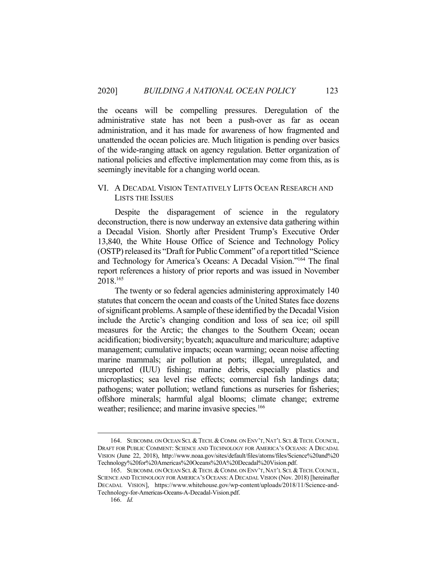the oceans will be compelling pressures. Deregulation of the administrative state has not been a push-over as far as ocean administration, and it has made for awareness of how fragmented and unattended the ocean policies are. Much litigation is pending over basics of the wide-ranging attack on agency regulation. Better organization of national policies and effective implementation may come from this, as is seemingly inevitable for a changing world ocean.

## VI. A DECADAL VISION TENTATIVELY LIFTS OCEAN RESEARCH AND LISTS THE ISSUES

 Despite the disparagement of science in the regulatory deconstruction, there is now underway an extensive data gathering within a Decadal Vision. Shortly after President Trump's Executive Order 13,840, the White House Office of Science and Technology Policy (OSTP) released its "Draft for Public Comment" of a report titled "Science and Technology for America's Oceans: A Decadal Vision."164 The final report references a history of prior reports and was issued in November 2018.165

 The twenty or so federal agencies administering approximately 140 statutes that concern the ocean and coasts of the United States face dozens of significant problems. A sample of these identified by the Decadal Vision include the Arctic's changing condition and loss of sea ice; oil spill measures for the Arctic; the changes to the Southern Ocean; ocean acidification; biodiversity; bycatch; aquaculture and mariculture; adaptive management; cumulative impacts; ocean warming; ocean noise affecting marine mammals; air pollution at ports; illegal, unregulated, and unreported (IUU) fishing; marine debris, especially plastics and microplastics; sea level rise effects; commercial fish landings data; pathogens; water pollution; wetland functions as nurseries for fisheries; offshore minerals; harmful algal blooms; climate change; extreme weather; resilience; and marine invasive species.<sup>166</sup>

 <sup>164.</sup> SUBCOMM. ON OCEAN SCI.&TECH.&COMM. ON ENV'T,NAT'L SCI.&TECH.COUNCIL, DRAFT FOR PUBLIC COMMENT: SCIENCE AND TECHNOLOGY FOR AMERICA'S OCEANS: A DECADAL VISION (June 22, 2018), http://www.noaa.gov/sites/default/files/atoms/files/Science%20and%20 Technology%20for%20Americas%20Oceans%20A%20Decadal%20Vision.pdf.

<sup>165.</sup> SUBCOMM. ON OCEAN SCI. & TECH. & COMM. ON ENV'T, NAT'L SCI. & TECH. COUNCIL, SCIENCE AND TECHNOLOGY FOR AMERICA'S OCEANS: A DECADAL VISION (Nov. 2018) [hereinafter DECADAL VISION], https://www.whitehouse.gov/wp-content/uploads/2018/11/Science-and-Technology-for-Americas-Oceans-A-Decadal-Vision.pdf.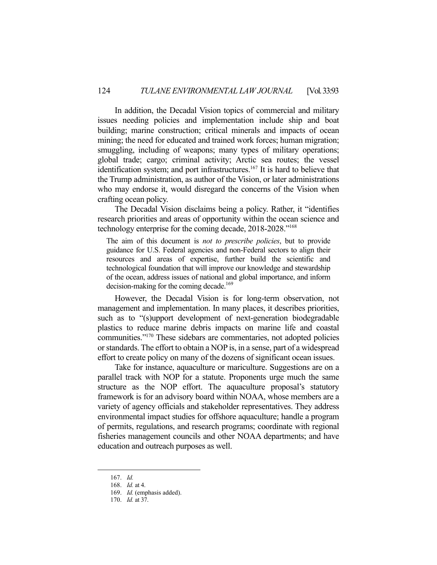In addition, the Decadal Vision topics of commercial and military issues needing policies and implementation include ship and boat building; marine construction; critical minerals and impacts of ocean mining; the need for educated and trained work forces; human migration; smuggling, including of weapons; many types of military operations; global trade; cargo; criminal activity; Arctic sea routes; the vessel identification system; and port infrastructures.<sup>167</sup> It is hard to believe that the Trump administration, as author of the Vision, or later administrations who may endorse it, would disregard the concerns of the Vision when crafting ocean policy.

 The Decadal Vision disclaims being a policy. Rather, it "identifies research priorities and areas of opportunity within the ocean science and technology enterprise for the coming decade, 2018-2028."168

The aim of this document is *not to prescribe policies*, but to provide guidance for U.S. Federal agencies and non-Federal sectors to align their resources and areas of expertise, further build the scientific and technological foundation that will improve our knowledge and stewardship of the ocean, address issues of national and global importance, and inform decision-making for the coming decade.<sup>169</sup>

 However, the Decadal Vision is for long-term observation, not management and implementation. In many places, it describes priorities, such as to "(s)upport development of next-generation biodegradable plastics to reduce marine debris impacts on marine life and coastal communities."170 These sidebars are commentaries, not adopted policies or standards. The effort to obtain a NOP is, in a sense, part of a widespread effort to create policy on many of the dozens of significant ocean issues.

 Take for instance, aquaculture or mariculture. Suggestions are on a parallel track with NOP for a statute. Proponents urge much the same structure as the NOP effort. The aquaculture proposal's statutory framework is for an advisory board within NOAA, whose members are a variety of agency officials and stakeholder representatives. They address environmental impact studies for offshore aquaculture; handle a program of permits, regulations, and research programs; coordinate with regional fisheries management councils and other NOAA departments; and have education and outreach purposes as well.

 <sup>167.</sup> *Id.*

 <sup>168.</sup> *Id.* at 4.

 <sup>169.</sup> *Id.* (emphasis added).

 <sup>170.</sup> *Id.* at 37.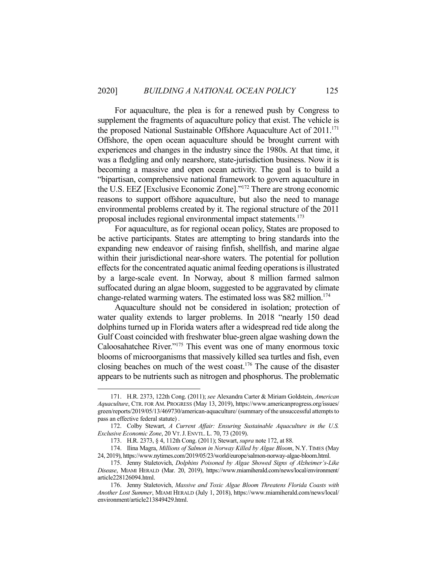For aquaculture, the plea is for a renewed push by Congress to supplement the fragments of aquaculture policy that exist. The vehicle is the proposed National Sustainable Offshore Aquaculture Act of  $2011$ <sup> $171$ </sup> Offshore, the open ocean aquaculture should be brought current with experiences and changes in the industry since the 1980s. At that time, it was a fledgling and only nearshore, state-jurisdiction business. Now it is becoming a massive and open ocean activity. The goal is to build a "bipartisan, comprehensive national framework to govern aquaculture in the U.S. EEZ [Exclusive Economic Zone]."172 There are strong economic reasons to support offshore aquaculture, but also the need to manage environmental problems created by it. The regional structure of the 2011 proposal includes regional environmental impact statements.<sup>173</sup>

 For aquaculture, as for regional ocean policy, States are proposed to be active participants. States are attempting to bring standards into the expanding new endeavor of raising finfish, shellfish, and marine algae within their jurisdictional near-shore waters. The potential for pollution effects for the concentrated aquatic animal feeding operations is illustrated by a large-scale event. In Norway, about 8 million farmed salmon suffocated during an algae bloom, suggested to be aggravated by climate change-related warming waters. The estimated loss was \$82 million.<sup>174</sup>

 Aquaculture should not be considered in isolation; protection of water quality extends to larger problems. In 2018 "nearly 150 dead dolphins turned up in Florida waters after a widespread red tide along the Gulf Coast coincided with freshwater blue-green algae washing down the Caloosahatchee River."175 This event was one of many enormous toxic blooms of microorganisms that massively killed sea turtles and fish, even closing beaches on much of the west coast.176 The cause of the disaster appears to be nutrients such as nitrogen and phosphorus. The problematic

 <sup>171.</sup> H.R. 2373, 122th Cong. (2011); *see* Alexandra Carter & Miriam Goldstein, *American Aquaculture*, CTR. FOR AM. PROGRESS (May 13, 2019), https://www.americanprogress.org/issues/ green/reports/2019/05/13/469730/american-aquaculture/ (summary of the unsuccessful attempts to pass an effective federal statute) .

 <sup>172.</sup> Colby Stewart, *A Current Affair: Ensuring Sustainable Aquaculture in the U.S. Exclusive Economic Zone*, 20 VT.J. ENVTL. L. 70, 73 (2019).

 <sup>173.</sup> H.R. 2373, § 4, 112th Cong. (2011); Stewart, *supra* note 172, at 88.

 <sup>174.</sup> Ilina Magra, *Millions of Salmon in Norway Killed by Algae Bloom*, N.Y. TIMES (May 24, 2019), https://www.nytimes.com/2019/05/23/world/europe/salmon-norway-algae-bloom.html.

 <sup>175.</sup> Jenny Staletovich, *Dolphins Poisoned by Algae Showed Signs of Alzheimer's-Like Disease*, MIAMI HERALD (Mar. 20, 2019), https://www.miamiherald.com/news/local/environment/ article228126094.html.

 <sup>176.</sup> Jenny Staletovich, *Massive and Toxic Algae Bloom Threatens Florida Coasts with Another Lost Summer*, MIAMI HERALD (July 1, 2018), https://www.miamiherald.com/news/local/ environment/article213849429.html.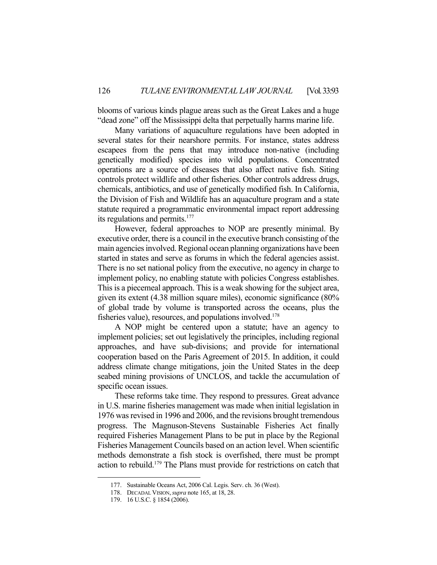blooms of various kinds plague areas such as the Great Lakes and a huge "dead zone" off the Mississippi delta that perpetually harms marine life.

 Many variations of aquaculture regulations have been adopted in several states for their nearshore permits. For instance, states address escapees from the pens that may introduce non-native (including genetically modified) species into wild populations. Concentrated operations are a source of diseases that also affect native fish. Siting controls protect wildlife and other fisheries. Other controls address drugs, chemicals, antibiotics, and use of genetically modified fish. In California, the Division of Fish and Wildlife has an aquaculture program and a state statute required a programmatic environmental impact report addressing its regulations and permits.<sup>177</sup>

 However, federal approaches to NOP are presently minimal. By executive order, there is a council in the executive branch consisting of the main agencies involved. Regional ocean planning organizations have been started in states and serve as forums in which the federal agencies assist. There is no set national policy from the executive, no agency in charge to implement policy, no enabling statute with policies Congress establishes. This is a piecemeal approach. This is a weak showing for the subject area, given its extent (4.38 million square miles), economic significance (80% of global trade by volume is transported across the oceans, plus the fisheries value), resources, and populations involved.<sup>178</sup>

 A NOP might be centered upon a statute; have an agency to implement policies; set out legislatively the principles, including regional approaches, and have sub-divisions; and provide for international cooperation based on the Paris Agreement of 2015. In addition, it could address climate change mitigations, join the United States in the deep seabed mining provisions of UNCLOS, and tackle the accumulation of specific ocean issues.

 These reforms take time. They respond to pressures. Great advance in U.S. marine fisheries management was made when initial legislation in 1976 was revised in 1996 and 2006, and the revisions brought tremendous progress. The Magnuson-Stevens Sustainable Fisheries Act finally required Fisheries Management Plans to be put in place by the Regional Fisheries Management Councils based on an action level. When scientific methods demonstrate a fish stock is overfished, there must be prompt action to rebuild.179 The Plans must provide for restrictions on catch that

 <sup>177.</sup> Sustainable Oceans Act, 2006 Cal. Legis. Serv. ch. 36 (West).

 <sup>178.</sup> DECADAL VISION,*supra* note 165, at 18, 28.

 <sup>179. 16</sup> U.S.C. § 1854 (2006).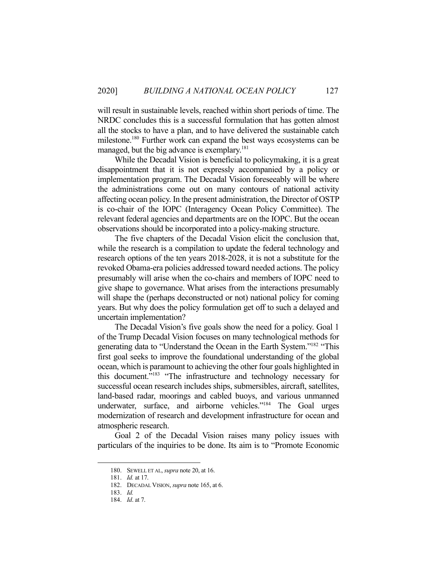will result in sustainable levels, reached within short periods of time. The NRDC concludes this is a successful formulation that has gotten almost all the stocks to have a plan, and to have delivered the sustainable catch milestone.<sup>180</sup> Further work can expand the best ways ecosystems can be managed, but the big advance is exemplary.<sup>181</sup>

 While the Decadal Vision is beneficial to policymaking, it is a great disappointment that it is not expressly accompanied by a policy or implementation program. The Decadal Vision foreseeably will be where the administrations come out on many contours of national activity affecting ocean policy. In the present administration, the Director of OSTP is co-chair of the IOPC (Interagency Ocean Policy Committee). The relevant federal agencies and departments are on the IOPC. But the ocean observations should be incorporated into a policy-making structure.

 The five chapters of the Decadal Vision elicit the conclusion that, while the research is a compilation to update the federal technology and research options of the ten years 2018-2028, it is not a substitute for the revoked Obama-era policies addressed toward needed actions. The policy presumably will arise when the co-chairs and members of IOPC need to give shape to governance. What arises from the interactions presumably will shape the (perhaps deconstructed or not) national policy for coming years. But why does the policy formulation get off to such a delayed and uncertain implementation?

 The Decadal Vision's five goals show the need for a policy. Goal 1 of the Trump Decadal Vision focuses on many technological methods for generating data to "Understand the Ocean in the Earth System."182 "This first goal seeks to improve the foundational understanding of the global ocean, which is paramount to achieving the other four goals highlighted in this document."183 "The infrastructure and technology necessary for successful ocean research includes ships, submersibles, aircraft, satellites, land-based radar, moorings and cabled buoys, and various unmanned underwater, surface, and airborne vehicles."<sup>184</sup> The Goal urges modernization of research and development infrastructure for ocean and atmospheric research.

 Goal 2 of the Decadal Vision raises many policy issues with particulars of the inquiries to be done. Its aim is to "Promote Economic

 <sup>180.</sup> SEWELL ET AL, *supra* note 20, at 16.

 <sup>181.</sup> *Id.* at 17.

 <sup>182.</sup> DECADAL VISION, *supra* note 165, at 6.

 <sup>183.</sup> *Id.*

 <sup>184.</sup> *Id*. at 7.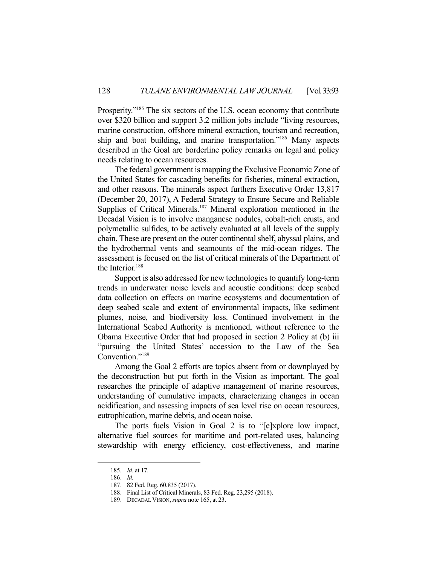Prosperity."<sup>185</sup> The six sectors of the U.S. ocean economy that contribute over \$320 billion and support 3.2 million jobs include "living resources, marine construction, offshore mineral extraction, tourism and recreation, ship and boat building, and marine transportation."186 Many aspects described in the Goal are borderline policy remarks on legal and policy needs relating to ocean resources.

 The federal government is mapping the Exclusive Economic Zone of the United States for cascading benefits for fisheries, mineral extraction, and other reasons. The minerals aspect furthers Executive Order 13,817 (December 20, 2017), A Federal Strategy to Ensure Secure and Reliable Supplies of Critical Minerals.<sup>187</sup> Mineral exploration mentioned in the Decadal Vision is to involve manganese nodules, cobalt-rich crusts, and polymetallic sulfides, to be actively evaluated at all levels of the supply chain. These are present on the outer continental shelf, abyssal plains, and the hydrothermal vents and seamounts of the mid-ocean ridges. The assessment is focused on the list of critical minerals of the Department of the Interior.<sup>188</sup>

 Support is also addressed for new technologies to quantify long-term trends in underwater noise levels and acoustic conditions: deep seabed data collection on effects on marine ecosystems and documentation of deep seabed scale and extent of environmental impacts, like sediment plumes, noise, and biodiversity loss. Continued involvement in the International Seabed Authority is mentioned, without reference to the Obama Executive Order that had proposed in section 2 Policy at (b) iii "pursuing the United States' accession to the Law of the Sea Convention."<sup>189</sup>

 Among the Goal 2 efforts are topics absent from or downplayed by the deconstruction but put forth in the Vision as important. The goal researches the principle of adaptive management of marine resources, understanding of cumulative impacts, characterizing changes in ocean acidification, and assessing impacts of sea level rise on ocean resources, eutrophication, marine debris, and ocean noise.

 The ports fuels Vision in Goal 2 is to "[e]xplore low impact, alternative fuel sources for maritime and port-related uses, balancing stewardship with energy efficiency, cost-effectiveness, and marine

 <sup>185.</sup> *Id*. at 17.

 <sup>186.</sup> *Id.* 

 <sup>187. 82</sup> Fed. Reg. 60,835 (2017).

 <sup>188.</sup> Final List of Critical Minerals, 83 Fed. Reg. 23,295 (2018).

 <sup>189.</sup> DECADAL VISION, *supra* note 165, at 23.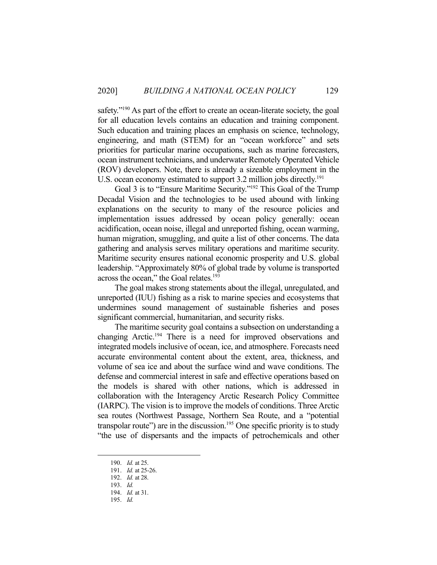safety."<sup>190</sup> As part of the effort to create an ocean-literate society, the goal for all education levels contains an education and training component. Such education and training places an emphasis on science, technology, engineering, and math (STEM) for an "ocean workforce" and sets priorities for particular marine occupations, such as marine forecasters, ocean instrument technicians, and underwater Remotely Operated Vehicle (ROV) developers. Note, there is already a sizeable employment in the U.S. ocean economy estimated to support 3.2 million jobs directly.<sup>191</sup>

Goal 3 is to "Ensure Maritime Security."<sup>192</sup> This Goal of the Trump Decadal Vision and the technologies to be used abound with linking explanations on the security to many of the resource policies and implementation issues addressed by ocean policy generally: ocean acidification, ocean noise, illegal and unreported fishing, ocean warming, human migration, smuggling, and quite a list of other concerns. The data gathering and analysis serves military operations and maritime security. Maritime security ensures national economic prosperity and U.S. global leadership. "Approximately 80% of global trade by volume is transported across the ocean," the Goal relates.<sup>193</sup>

 The goal makes strong statements about the illegal, unregulated, and unreported (IUU) fishing as a risk to marine species and ecosystems that undermines sound management of sustainable fisheries and poses significant commercial, humanitarian, and security risks.

 The maritime security goal contains a subsection on understanding a changing Arctic.194 There is a need for improved observations and integrated models inclusive of ocean, ice, and atmosphere. Forecasts need accurate environmental content about the extent, area, thickness, and volume of sea ice and about the surface wind and wave conditions. The defense and commercial interest in safe and effective operations based on the models is shared with other nations, which is addressed in collaboration with the Interagency Arctic Research Policy Committee (IARPC). The vision is to improve the models of conditions. Three Arctic sea routes (Northwest Passage, Northern Sea Route, and a "potential transpolar route") are in the discussion.<sup>195</sup> One specific priority is to study "the use of dispersants and the impacts of petrochemicals and other

 <sup>190.</sup> *Id.* at 25.

 <sup>191.</sup> *Id.* at 25-26.

 <sup>192.</sup> *Id.* at 28.

 <sup>193.</sup> *Id.*

 <sup>194.</sup> *Id.* at 31.

 <sup>195.</sup> *Id.*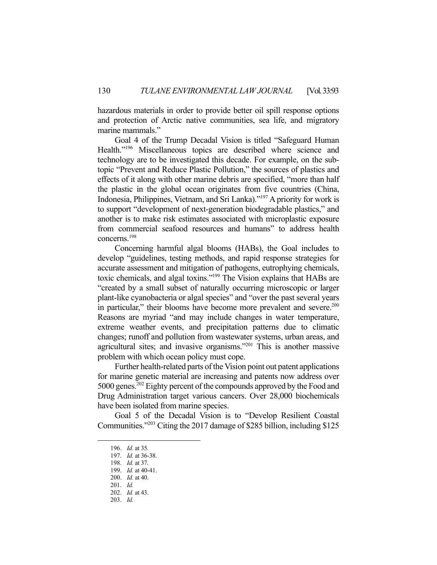hazardous materials in order to provide better oil spill response options and protection of Arctic native communities, sea life, and migratory marine mammals."

 Goal 4 of the Trump Decadal Vision is titled "Safeguard Human Health."196 Miscellaneous topics are described where science and technology are to be investigated this decade. For example, on the subtopic "Prevent and Reduce Plastic Pollution," the sources of plastics and effects of it along with other marine debris are specified, "more than half the plastic in the global ocean originates from five countries (China, Indonesia, Philippines, Vietnam, and Sri Lanka)."197 A priority for work is to support "development of next-generation biodegradable plastics," and another is to make risk estimates associated with microplastic exposure from commercial seafood resources and humans" to address health concerns.198

 Concerning harmful algal blooms (HABs), the Goal includes to develop "guidelines, testing methods, and rapid response strategies for accurate assessment and mitigation of pathogens, eutrophying chemicals, toxic chemicals, and algal toxins."199 The Vision explains that HABs are "created by a small subset of naturally occurring microscopic or larger plant-like cyanobacteria or algal species" and "over the past several years in particular," their blooms have become more prevalent and severe.<sup>200</sup> Reasons are myriad "and may include changes in water temperature, extreme weather events, and precipitation patterns due to climatic changes; runoff and pollution from wastewater systems, urban areas, and agricultural sites; and invasive organisms."201 This is another massive problem with which ocean policy must cope.

 Further health-related parts of the Vision point out patent applications for marine genetic material are increasing and patents now address over 5000 genes.202 Eighty percent of the compounds approved by the Food and Drug Administration target various cancers. Over 28,000 biochemicals have been isolated from marine species.

 Goal 5 of the Decadal Vision is to "Develop Resilient Coastal Communities."203 Citing the 2017 damage of \$285 billion, including \$125

 <sup>196.</sup> *Id.* at 35*.*

 <sup>197.</sup> *Id.* at 36-38.

 <sup>198.</sup> *Id.* at 37.

 <sup>199.</sup> *Id.* at 40-41.

 <sup>200.</sup> *Id.* at 40.

 <sup>201.</sup> *Id.*

 <sup>202.</sup> *Id.* at 43.

 <sup>203.</sup> *Id.*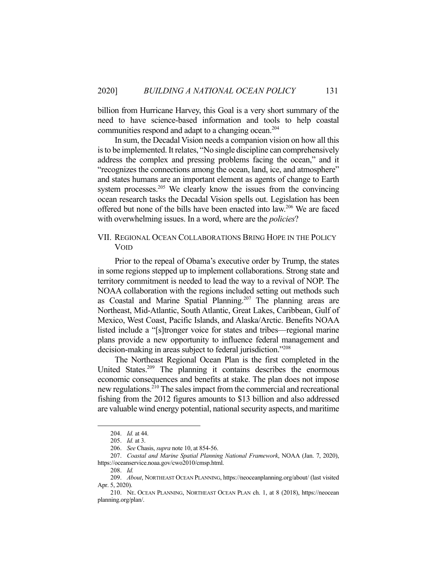billion from Hurricane Harvey, this Goal is a very short summary of the need to have science-based information and tools to help coastal communities respond and adapt to a changing ocean.<sup>204</sup>

 In sum, the Decadal Vision needs a companion vision on how all this is to be implemented. It relates, "No single discipline can comprehensively address the complex and pressing problems facing the ocean," and it "recognizes the connections among the ocean, land, ice, and atmosphere" and states humans are an important element as agents of change to Earth system processes.<sup>205</sup> We clearly know the issues from the convincing ocean research tasks the Decadal Vision spells out. Legislation has been offered but none of the bills have been enacted into law.206 We are faced with overwhelming issues. In a word, where are the *policies*?

## VII. REGIONAL OCEAN COLLABORATIONS BRING HOPE IN THE POLICY VOID

 Prior to the repeal of Obama's executive order by Trump, the states in some regions stepped up to implement collaborations. Strong state and territory commitment is needed to lead the way to a revival of NOP. The NOAA collaboration with the regions included setting out methods such as Coastal and Marine Spatial Planning.<sup>207</sup> The planning areas are Northeast, Mid-Atlantic, South Atlantic, Great Lakes, Caribbean, Gulf of Mexico, West Coast, Pacific Islands, and Alaska/Arctic. Benefits NOAA listed include a "[s]tronger voice for states and tribes—regional marine plans provide a new opportunity to influence federal management and decision-making in areas subject to federal jurisdiction."<sup>208</sup>

 The Northeast Regional Ocean Plan is the first completed in the United States.<sup>209</sup> The planning it contains describes the enormous economic consequences and benefits at stake. The plan does not impose new regulations.210 The sales impact from the commercial and recreational fishing from the 2012 figures amounts to \$13 billion and also addressed are valuable wind energy potential, national security aspects, and maritime

 <sup>204.</sup> *Id.* at 44.

 <sup>205.</sup> *Id.* at 3.

 <sup>206.</sup> *See* Chasis, *supra* note 10, at 854-56.

 <sup>207.</sup> *Coastal and Marine Spatial Planning National Framework*, NOAA (Jan. 7, 2020), https://oceanservice.noaa.gov/cwo2010/cmsp.html.

 <sup>208.</sup> *Id.*

 <sup>209.</sup> *About*, NORTHEAST OCEAN PLANNING, https://neoceanplanning.org/about/ (last visited Apr. 5, 2020).

 <sup>210.</sup> NE. OCEAN PLANNING, NORTHEAST OCEAN PLAN ch. 1, at 8 (2018), https://neocean planning.org/plan/.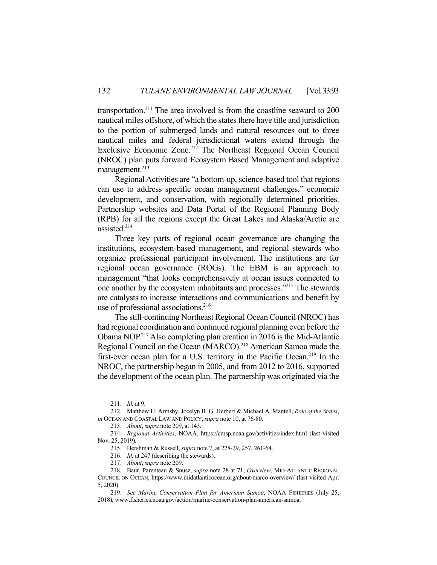transportation.<sup>211</sup> The area involved is from the coastline seaward to  $200$ nautical miles offshore, of which the states there have title and jurisdiction to the portion of submerged lands and natural resources out to three nautical miles and federal jurisdictional waters extend through the Exclusive Economic Zone.<sup>212</sup> The Northeast Regional Ocean Council (NROC) plan puts forward Ecosystem Based Management and adaptive management.<sup>213</sup>

 Regional Activities are "a bottom-up, science-based tool that regions can use to address specific ocean management challenges," economic development, and conservation, with regionally determined priorities. Partnership websites and Data Portal of the Regional Planning Body (RPB) for all the regions except the Great Lakes and Alaska/Arctic are assisted.214

 Three key parts of regional ocean governance are changing the institutions, ecosystem-based management, and regional stewards who organize professional participant involvement. The institutions are for regional ocean governance (ROGs). The EBM is an approach to management "that looks comprehensively at ocean issues connected to one another by the ecosystem inhabitants and processes."215 The stewards are catalysts to increase interactions and communications and benefit by use of professional associations.<sup>216</sup>

 The still-continuing Northeast Regional Ocean Council (NROC) has had regional coordination and continued regional planning even before the Obama NOP.217 Also completing plan creation in 2016 is the Mid-Atlantic Regional Council on the Ocean (MARCO).218 American Samoa made the first-ever ocean plan for a U.S. territory in the Pacific Ocean.<sup>219</sup> In the NROC, the partnership began in 2005, and from 2012 to 2016, supported the development of the ocean plan. The partnership was originated via the

 <sup>211.</sup> *Id.* at 9.

 <sup>212.</sup> Matthew H. Armsby, Jocelyn B. G. Herbert & Michael A. Mantell, *Role of the States*, *in* OCEAN AND COASTAL LAW AND POLICY, *supra* note 10, at 76-80.

 <sup>213.</sup> *About*, *supra* note 209, at 143.

 <sup>214.</sup> *Regional Activities*, NOAA, https://cmsp.noaa.gov/activities/index.html (last visited Nov. 25, 2019).

 <sup>215.</sup> Hershman & Russell, *supra* note 7, at 228-29, 257, 261-64.

 <sup>216.</sup> *Id.* at 247 (describing the stewards).

 <sup>217.</sup> *About*, *supra* note 209.

<sup>218.</sup> Baur, Parenteau & Snusz, *supra* note 28 at 71; *Overview*, MID-ATLANTIC REGIONAL COUNCIL ON OCEAN, https://www.midatlanticocean.org/about/marco-overview/ (last visited Apr. 5, 2020).

 <sup>219.</sup> *See Marine Conservation Plan for American Samoa*, NOAA FISHERIES (July 25, 2018), www.fisheries.noaa.gov/action/marine-conservation-plan-american-samoa.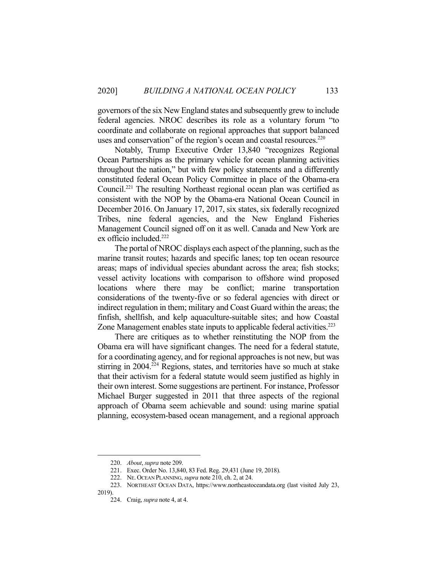governors of the six New England states and subsequently grew to include federal agencies. NROC describes its role as a voluntary forum "to coordinate and collaborate on regional approaches that support balanced uses and conservation" of the region's ocean and coastal resources.<sup>220</sup>

 Notably, Trump Executive Order 13,840 "recognizes Regional Ocean Partnerships as the primary vehicle for ocean planning activities throughout the nation," but with few policy statements and a differently constituted federal Ocean Policy Committee in place of the Obama-era Council.221 The resulting Northeast regional ocean plan was certified as consistent with the NOP by the Obama-era National Ocean Council in December 2016. On January 17, 2017, six states, six federally recognized Tribes, nine federal agencies, and the New England Fisheries Management Council signed off on it as well. Canada and New York are ex officio included.<sup>222</sup>

 The portal of NROC displays each aspect of the planning, such as the marine transit routes; hazards and specific lanes; top ten ocean resource areas; maps of individual species abundant across the area; fish stocks; vessel activity locations with comparison to offshore wind proposed locations where there may be conflict; marine transportation considerations of the twenty-five or so federal agencies with direct or indirect regulation in them; military and Coast Guard within the areas; the finfish, shellfish, and kelp aquaculture-suitable sites; and how Coastal Zone Management enables state inputs to applicable federal activities.<sup>223</sup>

 There are critiques as to whether reinstituting the NOP from the Obama era will have significant changes. The need for a federal statute, for a coordinating agency, and for regional approaches is not new, but was stirring in 2004.<sup>224</sup> Regions, states, and territories have so much at stake that their activism for a federal statute would seem justified as highly in their own interest. Some suggestions are pertinent. For instance, Professor Michael Burger suggested in 2011 that three aspects of the regional approach of Obama seem achievable and sound: using marine spatial planning, ecosystem-based ocean management, and a regional approach

 <sup>220.</sup> *About*, *supra* note 209.

 <sup>221.</sup> Exec. Order No. 13,840, 83 Fed. Reg. 29,431 (June 19, 2018).

 <sup>222.</sup> NE. OCEAN PLANNING, *supra* note 210, ch. 2, at 24.

 <sup>223.</sup> NORTHEAST OCEAN DATA, https://www.northeastoceandata.org (last visited July 23, 2019).

 <sup>224.</sup> Craig, *supra* note 4, at 4.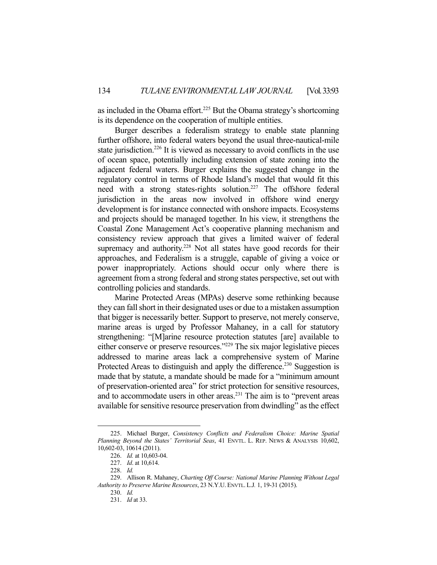as included in the Obama effort.<sup>225</sup> But the Obama strategy's shortcoming is its dependence on the cooperation of multiple entities.

 Burger describes a federalism strategy to enable state planning further offshore, into federal waters beyond the usual three-nautical-mile state jurisdiction.<sup>226</sup> It is viewed as necessary to avoid conflicts in the use of ocean space, potentially including extension of state zoning into the adjacent federal waters. Burger explains the suggested change in the regulatory control in terms of Rhode Island's model that would fit this need with a strong states-rights solution.<sup>227</sup> The offshore federal jurisdiction in the areas now involved in offshore wind energy development is for instance connected with onshore impacts. Ecosystems and projects should be managed together. In his view, it strengthens the Coastal Zone Management Act's cooperative planning mechanism and consistency review approach that gives a limited waiver of federal supremacy and authority.<sup>228</sup> Not all states have good records for their approaches, and Federalism is a struggle, capable of giving a voice or power inappropriately. Actions should occur only where there is agreement from a strong federal and strong states perspective, set out with controlling policies and standards.

 Marine Protected Areas (MPAs) deserve some rethinking because they can fall short in their designated uses or due to a mistaken assumption that bigger is necessarily better. Support to preserve, not merely conserve, marine areas is urged by Professor Mahaney, in a call for statutory strengthening: "[M]arine resource protection statutes [are] available to either conserve or preserve resources."229 The six major legislative pieces addressed to marine areas lack a comprehensive system of Marine Protected Areas to distinguish and apply the difference.<sup>230</sup> Suggestion is made that by statute, a mandate should be made for a "minimum amount of preservation-oriented area" for strict protection for sensitive resources, and to accommodate users in other areas.<sup>231</sup> The aim is to "prevent areas" available for sensitive resource preservation from dwindling" as the effect

 <sup>225.</sup> Michael Burger, *Consistency Conflicts and Federalism Choice: Marine Spatial Planning Beyond the States' Territorial Seas*, 41 ENVTL. L. REP. NEWS & ANALYSIS 10,602, 10,602-03, 10614 (2011).

 <sup>226.</sup> *Id.* at 10,603-04.

 <sup>227.</sup> *Id*. at 10,614.

 <sup>228.</sup> *Id.* 

 <sup>229.</sup> Allison R. Mahaney, *Charting Off Course: National Marine Planning Without Legal Authority to Preserve Marine Resources*, 23 N.Y.U. ENVTL. L.J*.* 1, 19-31 (2015).

 <sup>230.</sup> *Id.*

 <sup>231.</sup> *Id* at 33.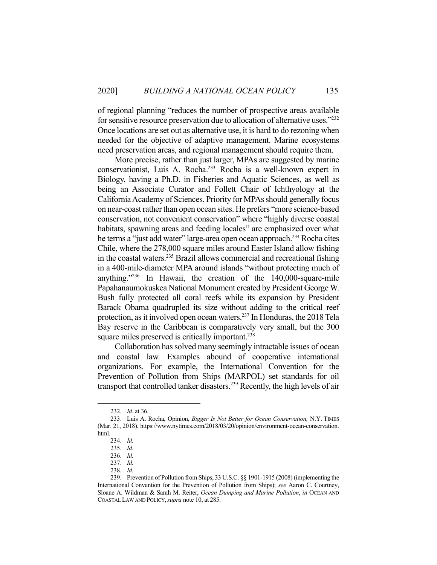of regional planning "reduces the number of prospective areas available for sensitive resource preservation due to allocation of alternative uses."232 Once locations are set out as alternative use, it is hard to do rezoning when needed for the objective of adaptive management. Marine ecosystems need preservation areas, and regional management should require them.

 More precise, rather than just larger, MPAs are suggested by marine conservationist, Luis A. Rocha.233 Rocha is a well-known expert in Biology, having a Ph.D. in Fisheries and Aquatic Sciences, as well as being an Associate Curator and Follett Chair of Ichthyology at the California Academy of Sciences. Priority for MPAs should generally focus on near-coast rather than open ocean sites. He prefers "more science-based conservation, not convenient conservation" where "highly diverse coastal habitats, spawning areas and feeding locales" are emphasized over what he terms a "just add water" large-area open ocean approach.<sup>234</sup> Rocha cites Chile, where the 278,000 square miles around Easter Island allow fishing in the coastal waters.235 Brazil allows commercial and recreational fishing in a 400-mile-diameter MPA around islands "without protecting much of anything."236 In Hawaii, the creation of the 140,000-square-mile Papahanaumokuskea National Monument created by President George W. Bush fully protected all coral reefs while its expansion by President Barack Obama quadrupled its size without adding to the critical reef protection, as it involved open ocean waters.237 In Honduras, the 2018 Tela Bay reserve in the Caribbean is comparatively very small, but the 300 square miles preserved is critically important.<sup>238</sup>

 Collaboration has solved many seemingly intractable issues of ocean and coastal law. Examples abound of cooperative international organizations. For example, the International Convention for the Prevention of Pollution from Ships (MARPOL) set standards for oil transport that controlled tanker disasters.<sup>239</sup> Recently, the high levels of air

 <sup>232.</sup> *Id*. at 36.

 <sup>233.</sup> Luis A. Rocha, Opinion, *Bigger Is Not Better for Ocean Conservation,* N.Y. TIMES (Mar. 21, 2018), https://www.nytimes.com/2018/03/20/opinion/environment-ocean-conservation. html.

 <sup>234.</sup> *Id.*

 <sup>235.</sup> *Id.*

 <sup>236.</sup> *Id.*

 <sup>237.</sup> *Id.*

 <sup>238.</sup> *Id.*

 <sup>239.</sup> Prevention of Pollution from Ships, 33 U.S.C. §§ 1901-1915 (2008) (implementing the International Convention for the Prevention of Pollution from Ships); *see* Aaron C. Courtney, Sloane A. Wildman & Sarah M. Reiter, *Ocean Dumping and Marine Pollution*, *in* OCEAN AND COASTAL LAW AND POLICY,*supra* note 10, at 285.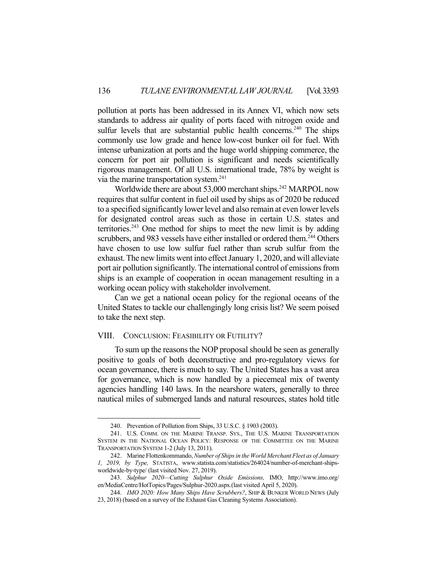pollution at ports has been addressed in its Annex VI, which now sets standards to address air quality of ports faced with nitrogen oxide and sulfur levels that are substantial public health concerns.<sup>240</sup> The ships commonly use low grade and hence low-cost bunker oil for fuel. With intense urbanization at ports and the huge world shipping commerce, the concern for port air pollution is significant and needs scientifically rigorous management. Of all U.S. international trade, 78% by weight is via the marine transportation system.<sup>241</sup>

Worldwide there are about 53,000 merchant ships.<sup>242</sup> MARPOL now requires that sulfur content in fuel oil used by ships as of 2020 be reduced to a specified significantly lower level and also remain at even lower levels for designated control areas such as those in certain U.S. states and territories.243 One method for ships to meet the new limit is by adding scrubbers, and 983 vessels have either installed or ordered them.<sup>244</sup> Others have chosen to use low sulfur fuel rather than scrub sulfur from the exhaust. The new limits went into effect January 1, 2020, and will alleviate port air pollution significantly. The international control of emissions from ships is an example of cooperation in ocean management resulting in a working ocean policy with stakeholder involvement.

 Can we get a national ocean policy for the regional oceans of the United States to tackle our challengingly long crisis list? We seem poised to take the next step.

#### VIII. CONCLUSION: FEASIBILITY OR FUTILITY?

 To sum up the reasons the NOP proposal should be seen as generally positive to goals of both deconstructive and pro-regulatory views for ocean governance, there is much to say. The United States has a vast area for governance, which is now handled by a piecemeal mix of twenty agencies handling 140 laws. In the nearshore waters, generally to three nautical miles of submerged lands and natural resources, states hold title

 <sup>240.</sup> Prevention of Pollution from Ships, 33 U.S.C. § 1903 (2003).

 <sup>241.</sup> U.S. COMM. ON THE MARINE TRANSP. SYS., THE U.S. MARINE TRANSPORTATION SYSTEM IN THE NATIONAL OCEAN POLICY: RESPONSE OF THE COMMITTEE ON THE MARINE TRANSPORTATION SYSTEM 1-2 (July 13, 2011).

 <sup>242.</sup> Marine Flottenkommando, *Number of Ships in the World Merchant Fleet as of January 1, 2019, by Type,* STATISTA, www.statista.com/statistics/264024/number-of-merchant-shipsworldwide-by-type/ (last visited Nov. 27, 2019).

 <sup>243.</sup> *Sulphur 2020—Cutting Sulphur Oxide Emissions,* IMO, http://www.imo.org/ en/MediaCentre/HotTopics/Pages/Sulphur-2020.aspx.(last visited April 5, 2020).

 <sup>244.</sup> *IMO 2020: How Many Ships Have Scrubbers?*, SHIP & BUNKER WORLD NEWS (July 23, 2018) (based on a survey of the Exhaust Gas Cleaning Systems Association).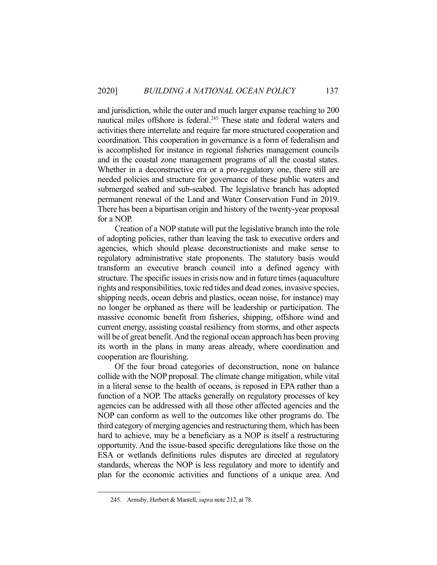and jurisdiction, while the outer and much larger expanse reaching to 200 nautical miles offshore is federal.<sup>245</sup> These state and federal waters and activities there interrelate and require far more structured cooperation and coordination. This cooperation in governance is a form of federalism and is accomplished for instance in regional fisheries management councils and in the coastal zone management programs of all the coastal states. Whether in a deconstructive era or a pro-regulatory one, there still are needed policies and structure for governance of these public waters and submerged seabed and sub-seabed. The legislative branch has adopted permanent renewal of the Land and Water Conservation Fund in 2019. There has been a bipartisan origin and history of the twenty-year proposal for a NOP.

 Creation of a NOP statute will put the legislative branch into the role of adopting policies, rather than leaving the task to executive orders and agencies, which should please deconstructionists and make sense to regulatory administrative state proponents. The statutory basis would transform an executive branch council into a defined agency with structure. The specific issues in crisis now and in future times (aquaculture rights and responsibilities, toxic red tides and dead zones, invasive species, shipping needs, ocean debris and plastics, ocean noise, for instance) may no longer be orphaned as there will be leadership or participation. The massive economic benefit from fisheries, shipping, offshore wind and current energy, assisting coastal resiliency from storms, and other aspects will be of great benefit. And the regional ocean approach has been proving its worth in the plans in many areas already, where coordination and cooperation are flourishing.

 Of the four broad categories of deconstruction, none on balance collide with the NOP proposal. The climate change mitigation, while vital in a literal sense to the health of oceans, is reposed in EPA rather than a function of a NOP. The attacks generally on regulatory processes of key agencies can be addressed with all those other affected agencies and the NOP can conform as well to the outcomes like other programs do. The third category of merging agencies and restructuring them, which has been hard to achieve, may be a beneficiary as a NOP is itself a restructuring opportunity. And the issue-based specific deregulations like those on the ESA or wetlands definitions rules disputes are directed at regulatory standards, whereas the NOP is less regulatory and more to identify and plan for the economic activities and functions of a unique area. And

 <sup>245.</sup> Armsby, Herbert & Mantell, *supra* note 212, at 78.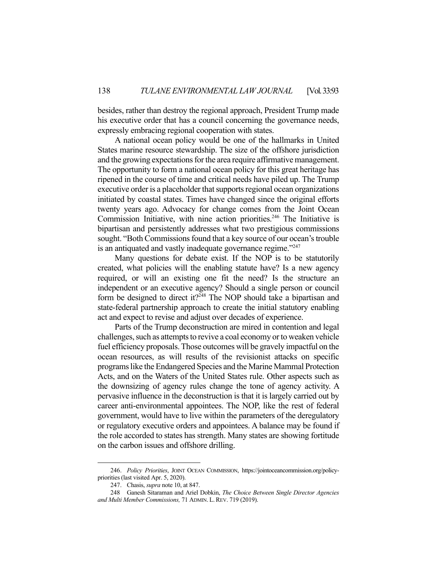besides, rather than destroy the regional approach, President Trump made his executive order that has a council concerning the governance needs, expressly embracing regional cooperation with states.

 A national ocean policy would be one of the hallmarks in United States marine resource stewardship. The size of the offshore jurisdiction and the growing expectations for the area require affirmative management. The opportunity to form a national ocean policy for this great heritage has ripened in the course of time and critical needs have piled up. The Trump executive order is a placeholder that supports regional ocean organizations initiated by coastal states. Times have changed since the original efforts twenty years ago. Advocacy for change comes from the Joint Ocean Commission Initiative, with nine action priorities.<sup>246</sup> The Initiative is bipartisan and persistently addresses what two prestigious commissions sought. "Both Commissions found that a key source of our ocean's trouble is an antiquated and vastly inadequate governance regime."<sup>247</sup>

 Many questions for debate exist. If the NOP is to be statutorily created, what policies will the enabling statute have? Is a new agency required, or will an existing one fit the need? Is the structure an independent or an executive agency? Should a single person or council form be designed to direct it?<sup>248</sup> The NOP should take a bipartisan and state-federal partnership approach to create the initial statutory enabling act and expect to revise and adjust over decades of experience.

 Parts of the Trump deconstruction are mired in contention and legal challenges, such as attempts to revive a coal economy or to weaken vehicle fuel efficiency proposals. Those outcomes will be gravely impactful on the ocean resources, as will results of the revisionist attacks on specific programs like the Endangered Species and the Marine Mammal Protection Acts, and on the Waters of the United States rule. Other aspects such as the downsizing of agency rules change the tone of agency activity. A pervasive influence in the deconstruction is that it is largely carried out by career anti-environmental appointees. The NOP, like the rest of federal government, would have to live within the parameters of the deregulatory or regulatory executive orders and appointees. A balance may be found if the role accorded to states has strength. Many states are showing fortitude on the carbon issues and offshore drilling.

 <sup>246.</sup> *Policy Priorities*, JOINT OCEAN COMMISSION, https://jointoceancommission.org/policypriorities (last visited Apr. 5, 2020).

 <sup>247.</sup> Chasis, *supra* note 10, at 847.

 <sup>248</sup> Ganesh Sitaraman and Ariel Dobkin, *The Choice Between Single Director Agencies and Multi Member Commissions,* 71 ADMIN. L.REV. 719 (2019).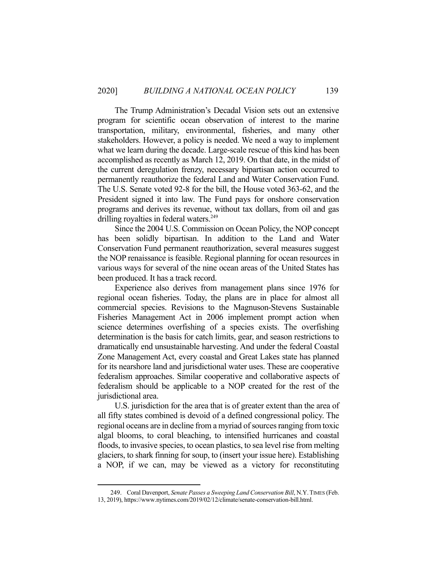The Trump Administration's Decadal Vision sets out an extensive program for scientific ocean observation of interest to the marine transportation, military, environmental, fisheries, and many other stakeholders. However, a policy is needed. We need a way to implement what we learn during the decade. Large-scale rescue of this kind has been accomplished as recently as March 12, 2019. On that date, in the midst of the current deregulation frenzy, necessary bipartisan action occurred to permanently reauthorize the federal Land and Water Conservation Fund. The U.S. Senate voted 92-8 for the bill, the House voted 363-62, and the President signed it into law. The Fund pays for onshore conservation programs and derives its revenue, without tax dollars, from oil and gas drilling royalties in federal waters.<sup>249</sup>

 Since the 2004 U.S. Commission on Ocean Policy, the NOP concept has been solidly bipartisan. In addition to the Land and Water Conservation Fund permanent reauthorization, several measures suggest the NOP renaissance is feasible. Regional planning for ocean resources in various ways for several of the nine ocean areas of the United States has been produced. It has a track record.

 Experience also derives from management plans since 1976 for regional ocean fisheries. Today, the plans are in place for almost all commercial species. Revisions to the Magnuson-Stevens Sustainable Fisheries Management Act in 2006 implement prompt action when science determines overfishing of a species exists. The overfishing determination is the basis for catch limits, gear, and season restrictions to dramatically end unsustainable harvesting. And under the federal Coastal Zone Management Act, every coastal and Great Lakes state has planned for its nearshore land and jurisdictional water uses. These are cooperative federalism approaches. Similar cooperative and collaborative aspects of federalism should be applicable to a NOP created for the rest of the jurisdictional area.

 U.S. jurisdiction for the area that is of greater extent than the area of all fifty states combined is devoid of a defined congressional policy. The regional oceans are in decline from a myriad of sources ranging from toxic algal blooms, to coral bleaching, to intensified hurricanes and coastal floods, to invasive species, to ocean plastics, to sea level rise from melting glaciers, to shark finning for soup, to (insert your issue here). Establishing a NOP, if we can, may be viewed as a victory for reconstituting

 <sup>249.</sup> Coral Davenport, *Senate Passes a Sweeping Land Conservation Bill*, N.Y.TIMES (Feb. 13, 2019), https://www.nytimes.com/2019/02/12/climate/senate-conservation-bill.html.